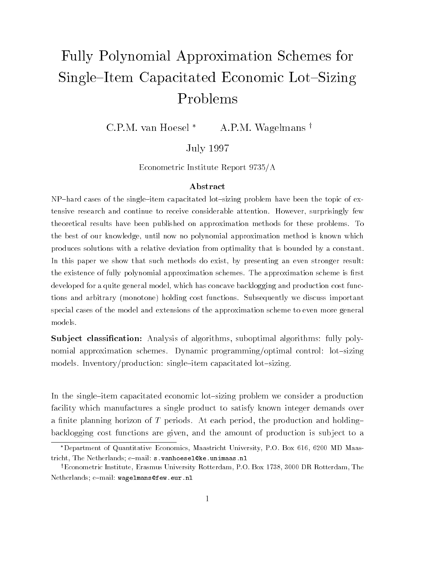# Fully Polynomial Approximation Schemes for Single–Item Capacitated Economic Lot–Sizing Problems

C.P.M. van Hoesel  $*$  A.P.M. Wagelmans  $\dagger$ 

### July 1997

Econometric Institute Report 9735/A

#### A bstract

 $NP$ -hard cases of the single-item capacitated lot-sizing problem have been the topic of extensive research and continue to receive considerable attention. However, surprisingly fewtheoretical results have been published on approximation methods for these problems. Tothe best of our knowledge, until now no polynomial approximation method is known whichproduces solutions with a relative deviation from optimality that is bounded by a constant.In this paper we show that such methods do exist, by presenting an even stronger result:the existence of fully polynomial approximation schemes. The approximation scheme is first developed for a quite general model, which has concave backlogging and production cost functions and arbitrary (monotone) holding cost functions. Subsequently we discuss importantspecial cases of the model and extensions of the approximation scheme to even more generalmodels.

**Subject classification:** Analysis of algorithms, suboptimal algorithms: fully polynomial approximation schemes. Dynamic programming/optimal control: lot-sizing models. Inventory/production: single-item capacitated lot-sizing.

In the single-item capacitated economic lot-sizing problem we consider a production facility which manufactures a single product to satisfy known integer demands over a finite planning horizon of T periods. At each period, the production and holdingbacklogging cost functions are given, and the amount of production is sub ject to a

Department of Quantitative Economics, Maastricht University, P.O. Box 616, 6200 MD Maastricht, The Netherlands; e-mail: s.vanhoesel@ke.unimaas.nl

<sup>&</sup>lt;sup>†</sup>Econometric Institute, Erasmus University Rotterdam, P.O. Box 1738, 3000 DR Rotterdam, The Netherlands; e-mail: wagelmans@few.eur.nl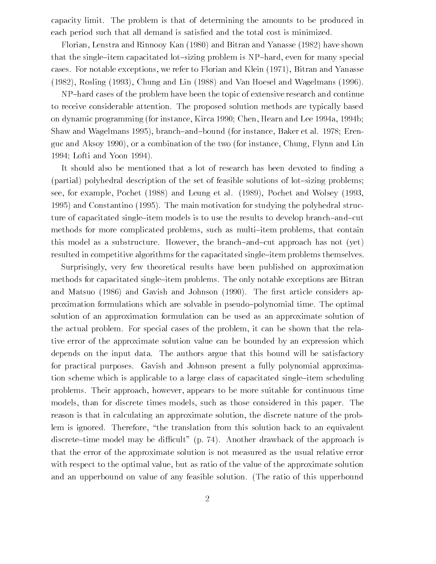capacity limit. The problem is that of determining the amounts to be produced in each period such that all demand is satised and the total cost is minimized.

Florian, Lenstra and Rinnooy Kan (1980) and Bitran and Yanasse (1982) have shown that the single-item capacitated lot-sizing problem is  $NP$ -hard, even for many special cases. For notable exceptions, we refer to Florian and Klein (1971), Bitran and Yanasse (1982), Rosling (1993), Chung and Lin (1988) and Van Hoesel and Wagelmans (1996).

NP-hard cases of the problem have been the topic of extensive research and continue to receive considerable attention. The proposed solution methods are typically based on dynamic programming (for instance, Kirca 1990; Chen, Hearn and Lee 1994a, 1994b; Shaw and Wagelmans 1995), branch-and-bound (for instance, Baker et al. 1978; Erenguc and Aksoy 1990), or a combination of the two (for instance, Chung, Flynn and Lin 1994; Lofti and Yoon 1994).

It should also be mentioned that a lot of research has been devoted to finding a (partial) polyhedral description of the set of feasible solutions of lot-sizing problems; see, for example, Pochet (1988) and Leung et al. (1989), Pochet and Wolsey (1993, 1995) and Constantino (1995). The main motivation for studying the polyhedral structure of capacitated single-item models is to use the results to develop branch-and-cut methods for more complicated problems, such as multi-item problems, that contain this model as a substructure. However, the branch-and-cut approach has not (yet) resulted in competitive algorithms for the capacitated single-item problems themselves.

Surprisingly, very few theoretical results have been published on approximation methods for capacitated single-item problems. The only notable exceptions are Bitran and Matsuo (1986) and Gavish and Johnson (1990). The first article considers approximation formulations which are solvable in pseudo{polynomial time. The optimal solution of an approximation formulation can be used as an approximate solution of the actual problem. For special cases of the problem, it can be shown that the relative error of the approximate solution value can be bounded by an expression which depends on the input data. The authors argue that this bound will be satisfactory for practical purposes. Gavish and Johnson present a fully polynomial approximation scheme which is applicable to a large class of capacitated single-item scheduling problems. Their approach, however, appears to be more suitable for continuous time models, than for discrete times models, such as those considered in this paper. The reason is that in calculating an approximate solution, the discrete nature of the problem is ignored. Therefore, \the translation from this solution back to an equivalent discrete-time model may be difficult" (p. 74). Another drawback of the approach is that the error of the approximate solution is not measured as the usual relative error with respect to the optimal value, but as ratio of the value of the approximate solution and an upperbound on value of any feasible solution. (The ratio of this upperbound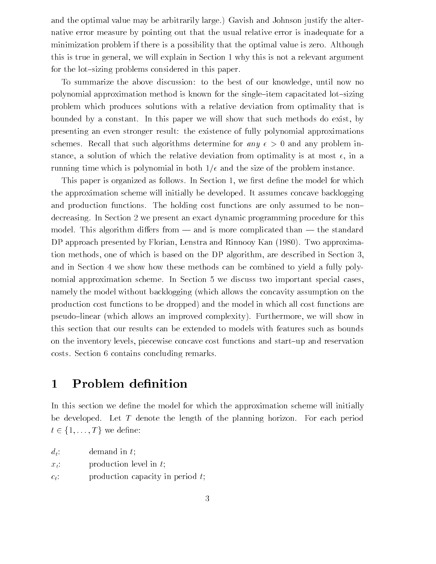and the optimal value may be arbitrarily large.) Gavish and Johnson justify the alternative error measure by pointing out that the usual relative error is inadequate for a minimization problem if there is a possibility that the optimal value is zero. Although this is true in general, we will explain in Section 1 why this is not a relevant argument for the lot-sizing problems considered in this paper.

To summarize the above discussion: to the best of our knowledge, until now no polynomial approximation method is known for the single-item capacitated lot-sizing problem which produces solutions with a relative deviation from optimality that is bounded by a constant. In this paper we will show that such methods do exist, by presenting an even stronger result: the existence of fully polynomial approximations schemes. Recall that such algorithms determine for any  $\epsilon > 0$  and any problem instance, a solution of which the relative deviation from optimality is at most  $\epsilon$ , in a running time which is polynomial in both  $1/\epsilon$  and the size of the problem instance.

This paper is organized as follows. In Section 1, we first define the model for which the approximation scheme will initially be developed. It assumes concave backlogging and production functions. The holding cost functions are only assumed to be nondecreasing. In Section 2 we present an exact dynamic programming procedure for this model. This algorithm differs from  $-$  and is more complicated than  $-$  the standard DP approach presented by Florian, Lenstra and Rinnooy Kan (1980). Two approximation methods, one of which is based on the DP algorithm, are described in Section 3, and in Section 4 we show how these methods can be combined to yield a fully polynomial approximation scheme. In Section 5 we discuss two important special cases, namely the model without backlogging (which allows the concavity assumption on the production cost functions to be dropped) and the model in which all cost functions are pseudo-linear (which allows an improved complexity). Furthermore, we will show in this section that our results can be extended to models with features such as bounds on the inventory levels, piecewise concave cost functions and start{up and reservation costs. Section 6 contains concluding remarks.

## 1 Problem definition

In this section we define the model for which the approximation scheme will initially be developed. Let T denote the length of the planning horizon. For each period

| - 1750    |                                     |
|-----------|-------------------------------------|
| $d_t$ :   | demand in $t$ ;                     |
| $x_t$ :   | production level in $t$ ;           |
| $c_{+}$ : | production capacity in period $t$ ; |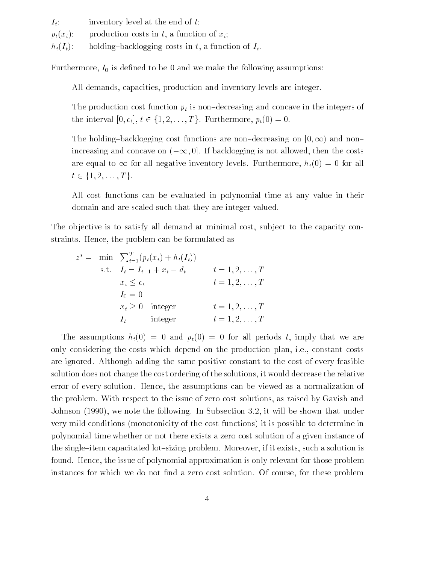$I_t$ : inventory level at the end of t;  $p_t(x_t):$  production costs in t, a function of  $x_t$ ;  $h_t(I_t):$  holding-backlogging costs in t, a function of  $I_t$ .

Furthermore,  $I_0$  is defined to be 0 and we make the following assumptions:

All demands, capacities, production and inventory levels are integer.

The production cost function  $p_t$  is non-decreasing and concave in the integers of

The holding-backlogging cost functions are non-decreasing on  $[0, \infty)$  and nonincreasing and concave on  $(-\infty, 0]$ . If backlogging is not allowed, then the costs are equal to 11 km in  $\omega_0$  are the inventory levels. Furthermore,  $h(t)$  = 0 for all

All cost functions All cost functions can be evaluated in polynomial time at any value in their domain and are scaled such that they are integer valued.

The objective is to satisfy all demand at minimal cost, subject to the capacity constraints. Hence, the problem can be formulated as

$$
z^* = \min \sum_{t=1}^T (p_t(x_t) + h_t(I_t))
$$
  
s.t.  $I_t = I_{t-1} + x_t - d_t$   $t = 1, 2, ..., T$   
 $x_t \le c_t$   $t = 1, 2, ..., T$   
 $I_0 = 0$   
 $x_t \ge 0$  integer  $t = 1, 2, ..., T$   
 $I_t$  integer  $t = 1, 2, ..., T$ 

The assumptions  $h_t(0) = 0$  and  $p_t(0) = 0$  for all periods t, imply that we are only considering the costs which depend on the production plan, i.e., constant costs are ignored. Although adding the same positive constant to the cost of every feasible solution does not change the cost ordering of the solutions, it would decrease the relative error of every solution. Hence, the assumptions can be viewed as a normalization of the problem. With respect to the issue of zero cost solutions, as raised by Gavish and Johnson (1990), we note the following. In Subsection 3.2, it will be shown that under very mild conditions (monotonicity of the cost functions) it is possible to determine in polynomial time whether or not there exists a zero cost solution of a given instance of the single-item capacitated lot-sizing problem. Moreover, if it exists, such a solution is found. Hence, the issue of polynomial approximation is only relevant for those problem instances for which we do not find a zero cost solution. Of course, for these problem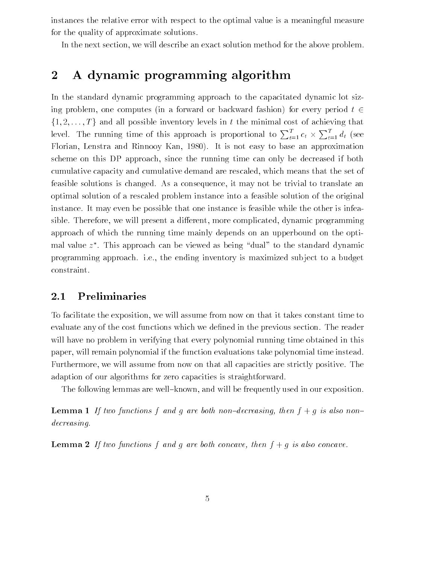instances the relative error with respect to the optimal value is a meaningful measure for the quality of approximate solutions.

In the next section, we will describe an exact solution method for the above problem.

# 2 A dynamic programming algorithm

In the standard dynamic programming approach to the capacitated dynamic lot sizing problem, one computes (in a forward or backward fashion) for every period  $t \in$ 20 Juni 19  $\frac{1}{1}$ ;  $\frac{1}{2}$ ; ...,  $\frac{1}{2}$  and all possible inventory levels in the minimal cost of action  $\frac{1}{2}$ level. The running time of this approach is proportional to  $\sum_{t=1}^{I} c_t \times \sum_{t=1}^{I} d_t$  (see Florian, Lenstra and Rinnooy Kan, 1980). It is not easy to base an approximation scheme on this DP approach, since the running time can only be decreased if both cumulative capacity and cumulative demand are rescaled, which means that the set of feasible solutions is changed. As a consequence, it may not be trivial to translate an optimal solution of a rescaled problem instance into a feasible solution of the original instance. It may even be possible that one instance is feasible while the other is infeasible. Therefore, we will present a different, more complicated, dynamic programming approach of which the running time mainly depends on an upperbound on the optimal value  $z$  . This approach can be viewed as being  $\,$  dual  $\,$  to the standard dynamic  $\,$ programming approach. i.e., the ending inventory is maximized sub ject to a budget constraint.

### 2.1 Preliminaries

To facilitate the exposition, we will assume from now on that it takes constant time to evaluate any of the cost functions which we dened in the previous section. The reader will have no problem in verifying that every polynomial running time obtained in this paper, will remain polynomial if the function evaluations take polynomial time instead. Furthermore, we will assume from now on that all capacities are strictly positive. The adaption of our algorithms for zero capacities is straightforward.

The following lemmas are well-known, and will be frequently used in our exposition.

**Lemma 1** If two functions f and g are both non-decreasing, then  $f + g$  is also nondecreasing.

**Lemma 2** If two functions f and g are both concave, then  $f + g$  is also concave.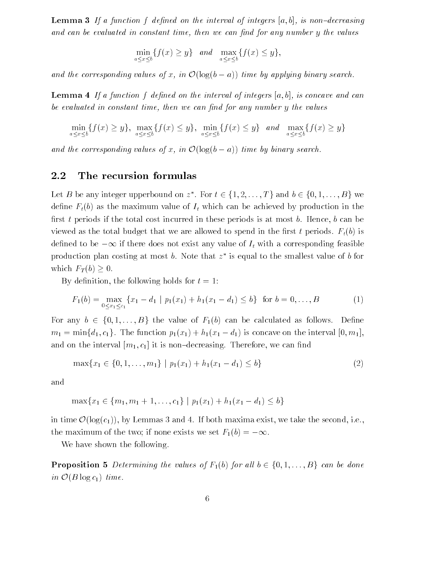**Lemma 3** If a function f defined on the interval of integers  $[a, b]$ , is non-decreasing and can be evaluated in constant time, then we can find for any number  $y$  the values

$$
\min_{a \le x \le b} \{ f(x) \ge y \} \quad and \quad \max_{a \le x \le b} \{ f(x) \le y \},
$$

and the corresponding values of x, in  $\bullet$  ( $\bullet$ <sub>0</sub>( $\bullet$  -a)) time by applying binary search.

**Lemma 4** If a function f defined on the interval of integers  $[a, b]$ , is concave and can be evaluated in constant time, then we can find for any number y the values

$$
\min_{a \le x \le b} \{f(x) \ge y\}, \max_{a \le x \le b} \{f(x) \le y\}, \min_{a \le x \le b} \{f(x) \le y\} \text{ and } \max_{a \le x \le b} \{f(x) \ge y\}
$$

and the corresponding values of  $\alpha$ , in  $\alpha$  ( $\alpha$ )  $\alpha$ ) time by binary search.

#### 2.2 The recursion formulas

Let  $D$  be any integer upperbound on  $z$  . F  $I_t$  which can be achieved by production in the<br>in these periods is at most b. Hence, b can be  $\mathbb{R}$ first t periods if the total cost incurred in these periods is at most b. Hence, b can be viewed as the total budget that we are allowed to spend in the first t periods.  $F_t(b)$  is  $\alpha$  if there does not exist any value of  $\alpha$  if with a corresponding feasible feasible feasible feasible feasible feasible feasible feasible feasible feasible feasible feasible feasible feasible feasible feasible feasib production plan costing at most  $b$ . Note that  $z$  is equal to the smallest value of  $b$  for  $\mathbf{F} \times \mathbf{F} = \mathbf{F}$ 

By definition, the following holds for  $t = 1$ :

$$
F_1(b) = \max_{0 \le x_1 \le c_1} \{x_1 - d_1 \mid p_1(x_1) + h_1(x_1 - d_1) \le b\} \text{ for } b = 0, ..., B
$$
 (1)

 $m_1 = \min\{d_1, c_1\}$ . The function  $p_1(x_1) + h_1(x_1 - d_1)$  is concave on the interval  $[0, m_1]$ ,<br>and on the interval  $[m_1, c_1]$  it is non-decreasing. Therefore, we can find  $m_1$  = minf $(a_1, a_1)$  is concerned p<sub>1(x1)</sub> +  $m_1(x_1 - x_1)$  is concerned on the interval  $[a_1, a_1]$ , and on the interval  $[m_1, c_1]$  it is non-decreasing. Therefore, we can find

$$
\max\{x_1 \in \{0, 1, \dots, m_1\} \mid p_1(x_1) + h_1(x_1 - d_1) \le b\}
$$
\n(2)

and

$$
\max\{x_1 \in \{m_1, m_1 + 1, \dots, c_1\} \mid p_1(x_1) + h_1(x_1 - d_1) \le b\}
$$

 $\mathcal{O}(\log(c_1))$ , by Lemmas 3 and 4. If both maxima exist, we ta  $\cdots$   $\cdots$   $\cdots$   $\cdots$   $\cdots$   $\cdots$   $\cdots$   $\cdots$   $\cdots$   $\cdots$   $\cdots$   $\cdots$   $\cdots$   $\cdots$   $\cdots$   $\cdots$   $\cdots$   $\cdots$   $\cdots$   $\cdots$   $\cdots$   $\cdots$   $\cdots$   $\cdots$   $\cdots$   $\cdots$   $\cdots$   $\cdots$   $\cdots$   $\cdots$   $\cdots$   $\cdots$   $\cdots$   $\cdots$   $\cdots$   $\cdots$   $\cdots$ the maximum of the two; if none exists we set  $F_1(b) = -\infty$ .

We have shown the following.

 $\int$  in  $\mathcal{O}(B \log c_1)$  time.  $\sum_{i=1}^{n}$  and  $\sum_{i=1}^{n}$  if  $\sum_{i=1}^{n}$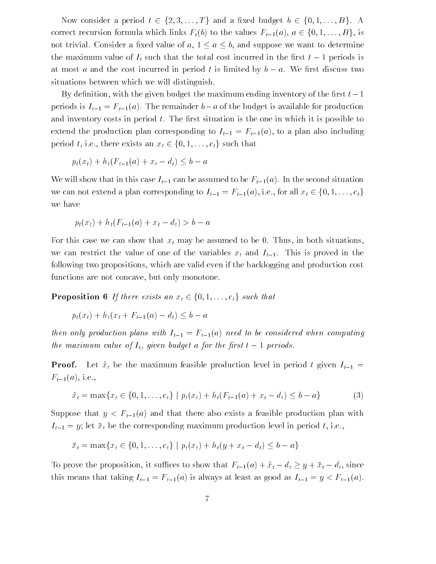Now consider a period  $t \in \{2, 3, ..., T\}$  and a fixed budget  $b \in \{0, 1, ..., B\}$ . A correct recursion formula which links  $F_t(b)$  to the values  $F_{t-1}(a), a \in \{0, 1, ..., B\}$ , is not trivial. Consider a fixed value of  $a, 1 \le a \le b$ , and suppose we want to determine<br>the maximum value of  $I_t$  such that the total cost incurred in the first  $t-1$  periods is not trivial. Consider a  $\alpha$  and suppose we want to determine to determine to determine to determine to determine to determine to determine to determine to determine the suppose we want to determine the suppose we want to  $\frac{1}{\epsilon}$ at most a and the cost incurred in period the cost in period to  $\mathcal{I}$ situations between which we will distinguish.

By definition, with the given budget the maximum ending inventory of the first  $t-1$ periods is  $I_{t-1} = F_{t-1}(a)$ . The remainder  $b-a$  of the budget is available for production and inventory costs in period  $t$ . The first situation is the one in which it is possible to extend the production plan corresponding to  $I_{t-1} = F_{t-1}(a)$ , to a plan also including

$$
p_t(x_t) + h_t(F_{t-1}(a) + x_t - d_t) \leq b - a
$$

We will show that in this case  $I_{t-1}$  can be assumed to be  $F_{t-1}(a)$ . In the second situation we have  $(c_1) + (E_1(c_2), \ldots, E_k(c_k))$ we have

$$
p_t(x_t) + h_t(F_{t-1}(a) + x_t - d_t) > b - a
$$

For this case we can show that  $x_t$  may be assumed to be 0. Thus, in both situations, we can restrict the value of one of the variables  $x_t$  and  $I_{t-1}$ . This is proved in the following two propositions, which are valid even if the backlogging and production cost functions are not concave, but only monotone.

 $p_t(x_t) + h_t(x_t + F_{t-1}(a) - d_t) \leq b - a$ pt(xt) + ht(xt <sup>+</sup> Ft1(a)  $\alpha$  a b  $\alpha$  b  $\alpha$ 

then only production plans with  $I_{t-1} = F_{t-1}(a)$  need to be considered when computing the maximum value of It, given budget a for the rst t <sup>1</sup> periods.

**Proof.** Let  $\hat{x}_t$  be the maximum feasible production level in period t given  $I_{t-1}$  =  $F_{t-1}(a)$ , i.e.,

$$
\hat{x}_t = \max\{x_t \in \{0, 1, \dots, c_t\} \mid p_t(x_t) + h_t(F_{t-1}(a) + x_t - d_t) \le b - a\}
$$
 (3)

 $x_t$  = max $\{x_t \in \{x_t, y_t, y_t, z_t\} \mid F_t(x_t) + x_t \in \{x_t, y_t, z_t\} \}$  (3) Suppose that  $\beta$  and  $t\!=\!1$  and there are also exists a feasible production plan with plane with  $\alpha$  $I_{t-1} = y$ ; let  $\bar{x}_t$  be the corresponding maximum production level in period t, i.e.,

To prove the proposition, it suffices to show that  $F_{t-1}(a) + \hat{x}_t - d_t \geq y + \bar{x}_t - d_t$ , since this means that taking  $I_{t-1} = F_{t-1}(a)$  is always at least as good as  $I_{t-1} = y < F_{t-1}(a)$ .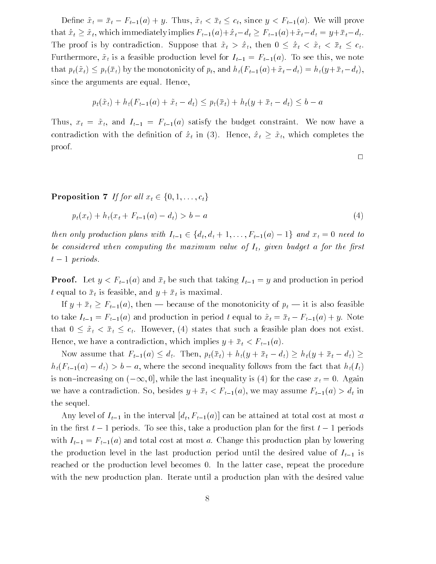$D = \sum_{i=1}^{n} a_i$   $\sum_{i=1}^{n} a_i$   $\sum_{i=1}^{n} a_i$   $\sum_{i=1}^{n} a_i$   $\sum_{i=1}^{n} a_i$   $\sum_{i=1}^{n} a_i$ . We will prove that ^xt x~t, which immediately implies Ft1(a)+^xtdt Ft1(a)+~xtdt <sup>=</sup> y+ xtdt. The proof is by contradiction. Suppose that  $\begin{array}{ccc} \mathbf{r} & \mathbf{r} & \mathbf{r} & \mathbf{r} & \mathbf{r} & \mathbf{r} & \mathbf{r} & \mathbf{r} & \mathbf{r} & \mathbf{r} & \mathbf{r} & \mathbf{r} & \mathbf{r} & \mathbf{r} & \mathbf{r} & \mathbf{r} & \mathbf{r} & \mathbf{r} & \mathbf{r} & \mathbf{r} & \mathbf{r} & \mathbf{r} & \mathbf{r} & \mathbf{r} & \$ Furthermore,  $\tilde{x}_t$  is a feasible production level for  $I_{t-1} = F_{t-1}(a)$ . To see this, we note that pt(~xt) pt(xt) by the monotonicity of pt, and ht(Ft1(a)+~xtdt) = ht(y+ xtdt), since the arguments are equal. Hence,

$$
p_t(\tilde{x}_t) + h_t(F_{t-1}(a) + \tilde{x}_t - d_t) \leq p_t(\bar{x}_t) + h_t(y + \bar{x}_t - d_t) \leq b - a
$$

Thus,  $x_t = \tilde{x}_t$ , and  $I_{t-1} = F_{t-1}(a)$  satisfy the budget constraint. We now have a  $c \left( \begin{array}{ccc} 0 & \lambda & \lambda \\ 0 & \lambda & \lambda \end{array} \right)$  in (3). Hence, which complete the complete the complete the complete the complete the complete the complete the complete the complete the complete the complete the complete the compl proof.

 $p_t(x_t) + h_t(x_t + F_{t-1}(a) - d_t) > b - a$ pt(xtility) + http://  $\mathbf{b}$ 

the considered when computing the maximum value of  $I_t$ , given budget a for the first<br>t - 1 periods. be considered when computing the maximum value of It, given budget a for the rst  $\mathbf{r} = \mathbf{r}$  per ods.

**Proof.** Let  $y < F_{t-1}(a)$  and  $\bar{x}_t$  be such that taking  $I_{t-1} = y$  and production in period t equal to  $\bar{x}_t$  is feasible, and  $y + \bar{x}_t$  is maximal.

 $\overline{u}$   $\overline{u}$   $\overline{u}$   $\overline{u}$   $\overline{u}$   $\overline{u}$  is also feasible monotonicity of pt is also feasible monotonicity of pt is also feasible monotonicity of pt is also feasible monotonicity of pt is also feasible monoto to take  $F_{t-1} = F_{t-1}(a)$  and production in period to  $F_{t-1}$  and to  $x_t = F_{t-1}(a) + y$ . that 0 x~t <sup>&</sup>lt; xt ct. However, (4) states that such a feasible plan does not exist. Hence, we have a contradiction, which implies  $y + \bar{x}_t < F_{t-1}(a)$ .

 $\lambda_0 = \lambda_1$  assume that  $\lambda_1 = \lambda_2$  is the function of  $\lambda_2$  is  $\lambda_3 = \lambda_4$  ,  $\lambda_4 = \lambda_5$  ,  $\lambda_5 = \lambda_6$  ,  $\lambda_7 = \lambda_8$  $h(t) = h(t)$  b a, where the second inequality follows from the second inequality follows from the fact that http:// is non-increasing on  $(-\infty, 0]$ , while the last inequality is (4) for the case  $x_t = 0$ . Again we have a contradiction. So, besides  $y + \bar{x}_t < F_{t-1}(a)$ , we may assume  $F_{t-1}(a) > d_t$  in the sequel.

Any level of  $I_{t-1}$  in the interval  $[d_t, F_{t-1}(a)]$  can be attained at total cost at most a  $\mathbf{r}$  the second  $\mathbf{r}$  periods. To see this, take a production plan for the first to  $\mathbf{r}$  periods. with  $I_{t-1} = F_{t-1}(a)$  and total cost at most a. Change this production plan by lowering the production level in the last production period until the desired value of  $I_{t-1}$  is reached or the production level becomes 0. In the latter case, repeat the procedure with the new production plan. Iterate until a production plan with the desired value

 $\Box$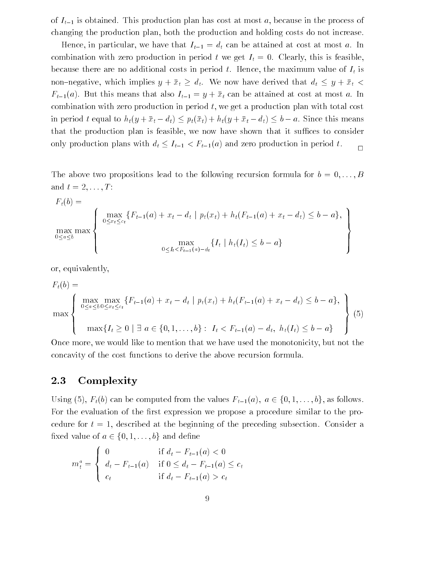of  $I_{t-1}$  is obtained. This production plan has cost at most a, because in the process of changing the production plan, both the production and holding costs do not increase.

Hence, in particular, we have that  $I_{t-1} = d_t$  can be attained at cost at most a. In combination with zero production in period t we get  $I_t = 0$ . Clearly, this is feasible, because there are no additional costs in period t. Hence, the maximum value of  $I_t$  is non  $\alpha$  is  $\alpha$  which implies  $y + x_t = x_t$ . We now have derived that  $x_t = y + x_t$ .  $F_{t-1}(a)$ . But this means that also  $I_{t-1} = y + \bar{x}_t$  can be attained at cost at most a. In combination with zero production in period t, we get a production plan with total cost in the theory is the following the following  $\frac{1}{\sqrt{2}}$  is means that  $\frac{1}{\sqrt{2}}$  is means the since this means of  $\frac{1}{\sqrt{2}}$ that the production plan is feasible, we now have shown that it suffices to consider only production plans with dt It1 < Ft1(a) and zero production in period t. <sup>2</sup>

The above two propositions lead to the following recursion formula for  $b = 0, \ldots, B$ and  $t = 2, \ldots, T$ :

$$
F_t(b) = \max_{0 \le x_t \le c_t} \left\{ \max_{0 \le x_t \le c_t} \{ F_{t-1}(a) + x_t - d_t \mid p_t(x_t) + h_t(F_{t-1}(a) + x_t - d_t) \le b - a \}, \max_{0 \le t_t \le F_{t-1}(a) - d_t} \{ I_t \mid h_t(I_t) \le b - a \} \right\}
$$

or, equivalently,

$$
F_t(b) = \max_{0 \le a \le b} \max_{0 \le x_t \le c_t} \{ F_{t-1}(a) + x_t - d_t \mid p_t(x_t) + h_t(F_{t-1}(a) + x_t - d_t) \le b - a \},
$$
  
\n
$$
\max \{ I_t \ge 0 \mid \exists a \in \{0, 1, ..., b\} : I_t < F_{t-1}(a) - d_t, h_t(I_t) \le b - a \}
$$
\n
$$
(5)
$$

e, we would like to mention that we have used the monotonicity, but no<br>of the cost functions to derive the above recursion formula Once more, we would like to mention that we have used the monotonicity, but not the concavity of the cost functions to derive the above recursion formula.

### 2.3 Complexity

For the evaluation of the first expression we propose a procedure similar to the procedure for  $t = 1$ , described at the beginning of the preceding subsection. Consider a For the evaluation of the first expression we propose a procedure similar to the pro-

$$
m_t^a = \begin{cases} 0 & \text{if } d_t - F_{t-1}(a) < 0\\ d_t - F_{t-1}(a) & \text{if } 0 \le d_t - F_{t-1}(a) \le c_t\\ c_t & \text{if } d_t - F_{t-1}(a) > c_t \end{cases}
$$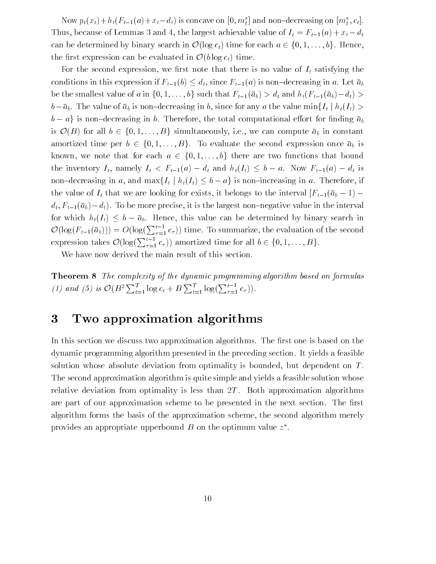Now  $p_t(x_t) + n_t(r_{t-1}(a) + x_t - a_t)$  is concave on  $[v, m_t]$  and non-decreasing on  $[m_t^*, c_t]$ .  $T$  and  $\frac{1}{2}$  and  $\frac{1}{2}$  and  $\frac{1}{2}$  and  $\frac{1}{2}$  and  $\frac{1}{2}$  are  $\frac{1}{2}$  and  $\frac{1}{2}$  and  $\frac{1}{2}$  and  $\frac{1}{2}$  and  $\frac{1}{2}$  and  $\frac{1}{2}$  and  $\frac{1}{2}$  and  $\frac{1}{2}$  and  $\frac{1}{2}$  and  $\frac{1}{2}$  and  $\frac$ can be determined by binary search in  $\mathcal{O}(\log c_t)$  time for each  $a \in \{0, 1, \ldots, b\}$ . Hence, First expression can be evaluated in  $\mathcal{O}(b \log c_t)$  time.<br>For the second expression, we first note that there is no value of  $I_t$  satisfying the  $\frac{1}{\sqrt{1-\frac{1}{\sqrt{1-\frac{1}{\sqrt{1-\frac{1}{\sqrt{1-\frac{1}{\sqrt{1-\frac{1}{\sqrt{1-\frac{1}{\sqrt{1-\frac{1}{\sqrt{1-\frac{1}{\sqrt{1-\frac{1}{\sqrt{1-\frac{1}{\sqrt{1-\frac{1}{\sqrt{1-\frac{1}{\sqrt{1-\frac{1}{\sqrt{1-\frac{1}{\sqrt{1-\frac{1}{\sqrt{1-\frac{1}{\sqrt{1-\frac{1}{\sqrt{1-\frac{1}{\sqrt{1-\frac{1}{\sqrt{1-\frac{1}{\sqrt{1-\frac{1}{\sqrt{1-\frac{1}{\sqrt{1-\frac{1}{\sqrt{1-\frac{1$ 

conditions in this expression if  $F_1(\cdot) = \frac{1}{d}$ , since  $F_1(\cdot)$  is non-decreasing in a. Let  $\frac{1}{d}$ be the smallest value of a in  $\{0, 1, \ldots, b\}$  such that  $F_{t-1}(\bar{a}_b) > d_t$  and  $h_t(F_{t-1}(\bar{a}_b)-d_t)$  $b-\bar{a}_b$ . The value of  $\bar{a}_b$  is non-decreasing in b, since for any a the value min $\{I_t | h_t(I_t) >$  $\begin{bmatrix} 1 \\ 0 \end{bmatrix}$  in b. Therefore, the total computational eort for the total computational eort for the total eorg for the total computational eorg for the total end of the total end of the total end of the total end o is  $\mathcal{O}(B)$  for all  $b \in \{0,1,\ldots,B\}$  simultaneously, i.e., we can compute  $\bar{a}_b$  in constant amortized time per  $b \in \{0, 1, ..., B\}$ . To evaluate the second expression once  $\bar{a}_b$  is known, we note that for each  $a \in \{0, 1, ..., b\}$  there are two functions that bound known, we note that for each  $a \in \{0, 1, ..., b\}$  there are two functions that bound<br>the inventory  $I_t$ , namely  $I_t < F_{t-1}(a) - d_t$  and  $h_t(I_t) \leq b - a$ . Now  $F_{t-1}(a) - d_t$  is the inventory  $I_t$ , namely  $I_t < F_{t-1}(a) - d_t$  and  $h_t(I_t) \leq b - a$ . Now  $F_{t-1}(a) - d_t$  is<br>non-decreasing in a, and max $\{I_t | h_t(I_t) \leq b - a\}$  is non-increasing in a. Therefore, if the inventory It, namely It < Ft1(a) dt and ht(It) <sup>b</sup> a. Now Ft1(a) dt is  $\alpha$  in a, and  $\alpha$  is non- $\sum_{i=1}^n$  that we are looking for existing the interval  $\sum_{i=1}^n$  (above)  $\sum_{i=1}^n$  $d_t, F_{t-1}(\bar{a}_b)-d_t)$ . To be more precise, it is the largest non-negative value in the interval for which  $h_t(I_t) \leq b - \bar{a}_b$ . Hence, this value can be determined by binary search in  $\mathcal{L}$  ab. Hence, this value can be determined by binary search in the determined by binary search in the determined by  $\mathcal{L}$  $\mathcal{O}(\log(F_{t-1}(\bar{a}_b))) = O(\log(\sum_{\tau=1}^{t-1} c_{\tau}))$  time. To summarize, the evaluation of the second expression takes  $\mathcal{O}(\log(\sum_{\tau=1}^{\tau-1} c_{\tau}))$ 

We have now derived the main result of this section.

Theorem 8 The complexity of the dynamic programming algorithm based on formulas (1) and (5) is  $\mathcal{O}(B^2 \sum_{t=1}^I \log c_t + B \sum_{t=1}^I \log(\sum_{\tau=1}^{t-1} c_{\tau}))$ .

# 3 Two approximation algorithms

In this section we discuss two approximation algorithms. The first one is based on the dynamic programming algorithm presented in the preceding section. It yields a feasible solution whose absolute deviation from optimality is bounded, but dependent on  $T$ . The second approximation algorithm is quite simple and yields a feasible solution whose relative deviation from optimality is less than  $2T$ . Both approximation algorithms are part of our approximation scheme to be presented in the next section. The first algorithm forms the basis of the approximation scheme, the second algorithm merely provides an appropriate upperbound  $\bm{D}$  on the optimum value  $z$  .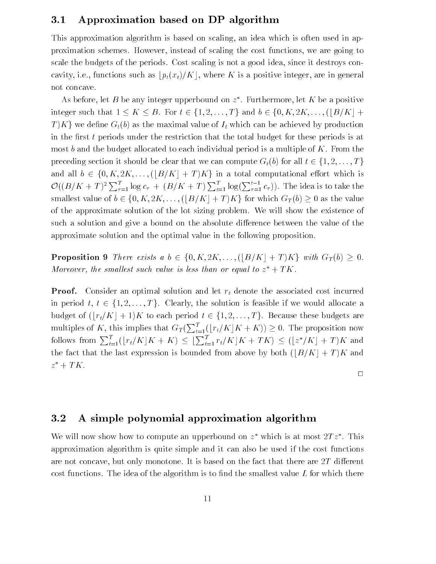### 3.1 Approximation based on DP algorithm

This approximation algorithm is based on scaling, an idea which is often used in approximation schemes. However, instead of scaling the cost functions, we are going to scale the budgets of the periods. Cost scaling is not a good idea, since it destroys concavity, i.e., functions such as  $\frac{p_t(x_t)}{K}$ , where K is a positive integer, are in general not concave.

As before, let  $B$  be any integer upperbound on  $z$  . Furthermore, let  $\Lambda$  be a positive integer such that  $1 \leq K \leq B$ . For  $t \in \{1, 2, ..., T\}$  and  $b \in \{0, K, 2K, ..., (\lfloor B/K \rfloor +$ b) as the maximal value of  $I_t$  which can be achieved by production<br>s under the restriction that the total budget for these periods is at  $\begin{bmatrix} 1 & 0 \\ 0 & 1 \end{bmatrix}$  as the maximal value of  $\begin{bmatrix} 0 & 0 \\ 0 & 1 \end{bmatrix}$ in the first  $t$  periods under the restriction that the total budget for these periods is at most  $b$  and the budget allocated to each individual period is a multiple of  $K$ . From the and all  $b \in \{0, K, 2K, \ldots, (\lfloor B/K \rfloor + T)K\}$  in a total computational effort which is<br>  $\mathcal{O}((B/K + T)^2 \sum_{\tau=1}^T \log c_\tau + (B/K + T) \sum_{t=1}^T \log(\sum_{\tau=1}^{t-1} c_\tau))$ . The idea is to take the  $\mathcal{O}((B/K+T)^2 \sum_{\tau=1}^T \log c_{\tau} + (B/K+T) \sum_{t=1}^T \log(\sum_{\tau=1}^{t-1} c_{\tau}))$ . The idea is to take the smallest value of  $b \in \{0, K, 2K, \ldots, (|B/K|+T)K\}$  for which  $G_T(b) \ge 0$  as the value  $\sim$   $\sim$   $\sim$   $\sim$   $\sim$  $^{2}\sum_{\tau=1}^{I}\log c_{\tau}+(B/K+T)\sum_{t=1}^{I}\log(\sum_{\tau=1}^{t-1}c_{\tau}))$ . The idea is to take the of the approximate solution of the lot sizing problem. We will show the existence of such a solution and give a bound on the absolute difference between the value of the of the approximate solution of the lot sizing problem. We will show the existence of such a solution and give a bound on the absolute difference between the value of the approximate solution and the optimal value in the following proposition.

Proposition 9 There exists a b 2  $(0, 2, 2, 3, ..., (2, 4)$  is joint  $\mathbb{R}^n$  or  $\mathbb{R}^n$ .<br>Moreover, the smallest such value is less than or equal to  $z^* + TK$ .  $+$   $\pm$   $\Lambda$ .

**Proof.** Consider an optimal solution and let  $r_t$  denote the associated cost incurred budget of  $(\lfloor r_t/K \rfloor + 1)K$  to each period  $t \in \{1, 2, ..., T\}$ . Because these budgets are<br>multiples of K, this implies that  $G_T(\sum_{t=1}^T (\lfloor r_t/K \rfloor K + K)) \ge 0$ . The proposition now multiples of K, this implies that  $G_T(\sum_{t=1}^T (\lfloor r_t/K \rfloor K + K)) \ge 0$ . The proposition now<br>follows from  $\sum_{t=1}^T (\lfloor r_t/K \rfloor K + K) \le \lfloor \sum_{t=1}^T r_t/K \rfloor K + TK) \le (\lfloor z^*/K \rfloor + T)K$  and multiples of K, this implies that  $G_T(\sum_{t=1}^T (r_t/K)K + K)) \geq 0$ . The proposition now follows from  $\sum_{t=1}^{T} (\lfloor r_t/K \rfloor K + K) \leq \lfloor \sum_{t=1}^{T} r_t \rfloor$ <br>the fact that the last expression is bounded fr<br> $z^* + TK$ .  $t=1$   $r_t/\Lambda \rfloor \Lambda + I \Lambda$ )  $\leq$   $(\lfloor z \rfloor / \Lambda \rfloor + I \Lambda$  and the fact that the last expression is bounded from above by both  $(|B/K| + T)K$  and  $z + I$   $\Lambda$  .

 $\Box$ 

### 3.2 A simple polynomial approximation algorithm

We will now show how to compute an upperbound on  $z$  –which is at most  $\angle I\bar{z}$  . This approximation algorithm is quite simple and it can also be used if the cost functions are not concave, but only monotone. It is based on the fact that there are  $2T$  different cost functions. The idea of the algorithm is to find the smallest value  $L$  for which there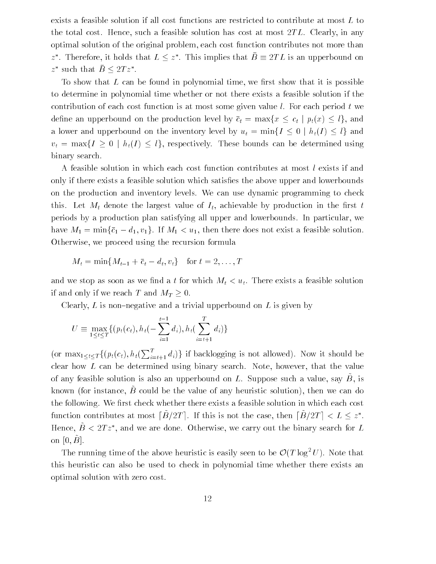exists a feasible solution if all cost functions are restricted to contribute at most L to the total cost. Hence, such a feasible solution has cost at most  $2TL$ . Clearly, in any optimal solution of the original problem, each cost function contributes not more than z. Therefore, it holds that  $L \leq z$ . This implies that  $D = 2L L$  is an upperbound on z such that  $D \leq 2T \bar{z}$ .

To show that  $L$  can be found in polynomial time, we first show that it is possible to determine in polynomial time whether or not there exists a feasible solution if the contribution of each cost function is at most some given value  $l$ . For each period  $t$  we  $\frac{1}{\sqrt{1-\frac{1}{\sqrt{1-\frac{1}{\sqrt{1-\frac{1}{\sqrt{1-\frac{1}{\sqrt{1-\frac{1}{\sqrt{1-\frac{1}{\sqrt{1-\frac{1}{\sqrt{1-\frac{1}{\sqrt{1-\frac{1}{\sqrt{1-\frac{1}{\sqrt{1-\frac{1}{\sqrt{1-\frac{1}{\sqrt{1-\frac{1}{\sqrt{1-\frac{1}{\sqrt{1-\frac{1}{\sqrt{1-\frac{1}{\sqrt{1-\frac{1}{\sqrt{1-\frac{1}{\sqrt{1-\frac{1}{\sqrt{1-\frac{1}{\sqrt{1-\frac{1}{\sqrt{1-\frac{1}{\sqrt{1-\frac{1}{\sqrt{1-\frac{1$ a lower and upperbound on the inventory level by  $u_t = \max\{1 \leq s \mid \dots \leq t\}$  and  $v_t = \max\{I \geq 0 \mid h_t(I) \leq l\}$ , respectively. These bounds can be determined using binary search.

A feasible solution in which each cost function contributes at most l exists if and only if there exists a feasible solution which satisfies the above upper and lowerbounds on the production and inventory levels. We can use dynamic programming to check this. Let  $M_t$  denote the largest value of  $I_t$ , achievable by production in the first t periods by a production plan satisfying all upper and lowerbounds. In particular, we have  $M_1 = \min{\{\bar{c}_1 - d_1, v_1\}}$ . If  $M_1 < u_1$ , then there does not exist a feasible solution. Otherwise, we proceed using the recursion formula

$$
M_t = \min\{M_{t-1} + \overline{c}_t - d_t, v_t\} \quad \text{for } t = 2, \dots, T
$$

and we stop as soon as we find a t for which  $M_t < u_t$ . There exists a feasible solution if and only if we reach T and  $M_T \geq 0$ . 0.

 $\mathcal{L}$  is non-trivial upper and a trivial upperbound on L is given by  $\mathcal{L}$ 

$$
U \equiv \max_{1 \leq t \leq T} \{ (p_t(c_t), h_t(-\sum_{i=1}^{t-1} d_i), h_t(\sum_{i=t+1}^T d_i) \}
$$

(or  $\max_{1 \leq t \leq T} \{ (p_t(c_t), h_t(\sum_{i=t+1}^t d_i)) \}$  if backlogging is not allowed). Now it should be clear how L can be determined using binary search. Note, however, that the value of any reasible solution is also an upperbound on  $L$ . Suppose such a value, say  $D$ , is  $\kappa$ hown (for instance,  $B$  could be the value of any heuristic solution), then we can do the following. We first check whether there exists a feasible solution in which each cost function contributes at most  $|B/ZI|$ . If this is not the case, then  $|B/ZI| \leq L \leq Z$ . Hence,  $B~\leq~2I~z$  , and we are done. Otherwise, we carry out the binary search for  $L$ on [0; B~ ].

The running time of the above heuristic is easily seen to be  $O(1 \log^2 U)$ . Note that this heuristic can also be used to check in polynomial time whether there exists an optimal solution with zero cost.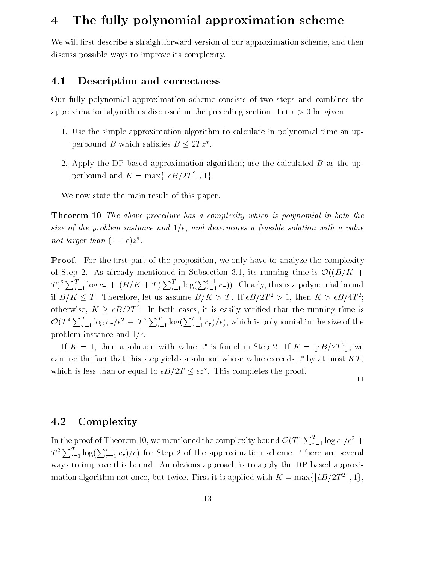# 4 The fully polynomial approximation scheme

We will first describe a straightforward version of our approximation scheme, and then discuss possible ways to improve its complexity.

### 4.1 Description and correctness

Our fully polynomial approximation scheme consists of two steps and combines the approximation algorithms discussed in the preceding section. Let  $\epsilon > 0$  be given.

- 1. Use the simple approximation algorithm to calculate in polynomial time an upperbound *D* which satisfies  $D \leq 2T \overline{z}$ .
- 2. Apply the DP based approximation algorithm; use the calculated B as the upperbound and  $K = \max\{|\epsilon B/2T^2|, 1\}.$

We now state the main result of this paper.

**Theorem 10** The above procedure has a complexity which is polynomial in both the size of the problem instance and  $1/\epsilon$ , and determines a feasible solution with a value not larger than  $(1 + \epsilon)z$  .

**Proof.** For the first part of the proposition, we only have to analyze the complexity of Step 2. As already mentioned in Subsection 3.1, its running time is  $\mathcal{O}((B/K +$  $\sim$  (( $\sim$  )  $\sim$  $(T)^2 \sum_{\tau=1}^t \log c_\tau + (B/K+T) \sum_{t=1}^t \log(\sum_{\tau=1}^{t-1} c_\tau))$ . Clearly, this is a polynomial bound If  $B/N \leq T$ . Therefore, let us assume  $B/N \geq T$ . If  $\epsilon D/2T \geq T$ , then  $K \geq \epsilon D/4T$ ; otherwise, K . In both cases, it is easily verified that the run number is easily verified that the running time is  $\Lambda$  $\leq \frac{\epsilon}{D}/2I$ . 1  $\mathcal{O}(T^4 \sum_{\tau=1}^I \log c_\tau/\epsilon^2 + T^2 \sum_{t=1}^I \log(\sum_{\tau=1}^{t-1} c_\tau)/\epsilon)$ , which is polynomial in the size of the problem instance and  $1/\epsilon$ .

If  $K = 1$ , then a solution with value z is found in Step 2. If  $K = \lfloor \epsilon D/2T \rfloor$ , we can use the fact that this step yields a solution whose value exceeds  $z$  -by at most  $K_I$  ,  $\ldots$ which is less than or equal to  $\epsilon D/2T \leq \epsilon z$ . This completes the proof.

### 4.2 Complexity

In the proof of Theorem 10, we mentioned the complexity bound  $\mathcal{O}(T^4 \sum_{\tau=1}^I \log c_\tau/\epsilon^2 +$  $T^2\sum_{t=1}^T \log(\sum_{\tau=1}^{t-1} c_{\tau})/\epsilon)$  for Step 2 of the approximation scheme. There are several ways to improve this bound. An obvious approach is to apply the DP based approximation algorithm not once, but twice. First it is applied with  $K = \max\{|\hat{\epsilon}B/2T^2|, 1\}$ ,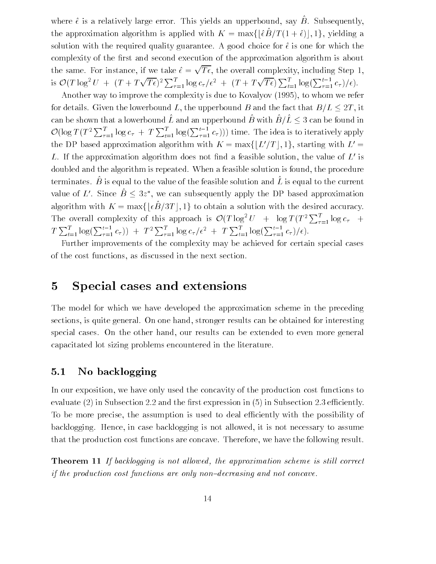where  $\hat{\epsilon}$  is a relatively large error. This yields an upperbound, say B. Subsequently, the approximation algorithm is applied with  $K = \max\{\lfloor \epsilon D / T (T + \epsilon)\rfloor, Tf, y\}$ elding a solution with the required quality guarantee. A good choice for  $\hat{\epsilon}$  is one for which the complexity of the first and second execution of the approximation algorithm is about the same. For instance, if we take  $\hat{\epsilon} = \sqrt{T_{\epsilon}}$ , the overall complexity, including Step 1, is  $\mathcal{O}(T \log^2 U + (T + T\sqrt{T\epsilon})^2 \sum_{\tau=1}^T \log c_\tau/\epsilon^2 + (T + T\sqrt{T\epsilon}) \sum_{t=1}^T \log(\sum_{\tau=1}^{t-1} c_\tau)/\epsilon).$ 

Another way to improve the complexity is due to Kovalyov (1995), to whom we refer for details. Given the lowerbound L, the upperbound B and the fact that  $B/L \leq 2T$ , it  $,$   $\cdots$ can be shown that a lowerbound  $L$  and an upperbound  $D$  with  $D/L \leq \ell$  3 can be found in  $\mathcal{O}(\log T(T^2 \sum_{\tau=1}^I \log c_\tau + T \sum_{t=1}^I \log(\sum_{\tau=1}^{t-1} c_\tau)))$  time. The idea is to iteratively apply the DP based approximation algorithm with  $K = \max\{|L'/T|, 1\}$ , starting with  $L' =$ L. If the approximation algorithm does not find a feasible solution, the value of  $L'$  is doubled and the algorithm is repeated. When a feasible solution is found, the procedure terminates.  $B$  is equal to the value of the feasible solution and L is equal to the current value of  $L$  . Since  $D \leq \delta z$  , we can subsequently apply the DP based approximation algorithm with  $K = \max\{|\epsilon \hat{B}/3T|, 1\}$  to obtain a solution with the desired accuracy. algorithm with  $K = \max\{\epsilon D / \delta T\}$ ,  $T_f$  to obtain a solution with the desired accuracy. The overall complexity of this approach is  $\mathcal{O}(T \log^2 U + \log T (T^2 \sum_{\tau=1}^I \log c_{\tau} + \frac{1}{T^2})$  $T \sum_{t=1}^t \log(\sum_{\tau=1}^{t-1} c_{\tau}) + T^2 \sum_{\tau=1}^t \log c_{\tau} / \epsilon^2 + T \sum_{t=1}^t \log(\sum_{\tau=1}^{t-1} c_{\tau}) / \epsilon).$ 

Further improvements of the complexity may be achieved for certain special cases of the cost functions, as discussed in the next section.

## 5 Special cases and extensions

The model for which we have developed the approximation scheme in the preceding sections, is quite general. On one hand, stronger results can be obtained for interesting special cases. On the other hand, our results can be extended to even more general capacitated lot sizing problems encountered in the literature.

### 5.1 No backlogging

In our exposition, we have only used the concavity of the production cost functions to evaluate  $(2)$  in Subsection 2.2 and the first expression in  $(5)$  in Subsection 2.3 efficiently. To be more precise, the assumption is used to deal efficiently with the possibility of backlogging. Hence, in case backlogging is not allowed, it is not necessary to assume that the production cost functions are concave. Therefore, we have the following result.

**Theorem 11** If backlogging is not allowed, the approximation scheme is still correct if the production cost functions are only non-decreasing and not concave.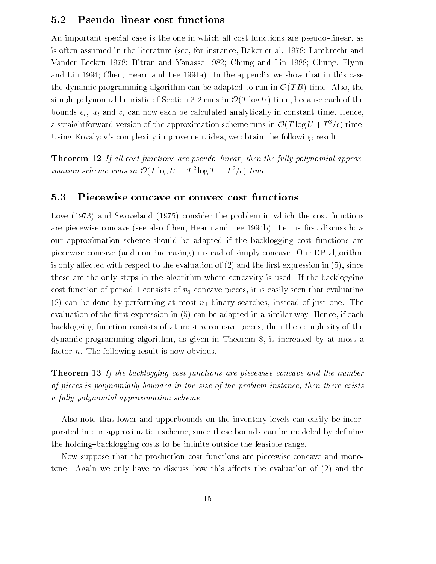### 5.2 Pseudo-linear cost functions

An important special case is the one in which all cost functions are pseudo-linear, as is often assumed in the literature (see, for instance, Baker et al. 1978; Lambrecht and Vander Eecken 1978; Bitran and Yanasse 1982; Chung and Lin 1988; Chung, Flynn and Lin 1994; Chen, Hearn and Lee 1994a). In the appendix we show that in this case the dynamic programming algorithm can be adapted to run in  $\mathcal{O}(TB)$  time. Also, the  $\overline{a}$  time. Also, the state  $\overline{a}$ simple polynomial heuristic of Section 3.2 runs in  $\mathcal{O}(T \log U)$  time, because each of the O(T log U) time, because each of the  $\alpha$  and  $\alpha$   $\alpha$   $\beta$  and  $\alpha$   $\beta$  and  $\alpha$  and  $\alpha$  and  $\alpha$  is calculated analytically in constant time. Hence, and  $\alpha$ a straightforward version of the approximation scheme runs in  $O( T \log U + T^2 / \epsilon)$  time. Using Kovalyov's complexity improvement idea, we obtain the following result.

**Theorem 12** If all cost functions are pseudo-linear, then the fully polynomial approx $i$ mation scheme runs in  $\mathcal{O}(T \log U + T^{-1} \log T + T^{-1} \epsilon)$  time.

#### 5.3 Piecewise concave or convex cost functions

Love (1973) and Swoveland (1975) consider the problem in which the cost functions are piecewise concave (see also Chen, Hearn and Lee 1994b). Let us first discuss how our approximation scheme should be adapted if the backlogging cost functions are piecewise concave (and non{increasing) instead of simply concave. Our DP algorithm is only affected with respect to the evaluation of  $(2)$  and the first expression in  $(5)$ , since these are the only steps in the algorithm where concavity is used. If the backlogging cost function of period 1 consists of  $n_1$  concave pieces, it is easily seen that evaluating (2) can be done by performing at most  $n_1$  binary searches, instead of just one. The evaluation of the first expression in  $(5)$  can be adapted in a similar way. Hence, if each backlogging function consists of at most n concave pieces, then the complexity of the dynamic programming algorithm, as given in Theorem 8, is increased by at most a factor *n*. The following result is now obvious.

**Theorem 13** If the backlogging cost functions are piecewise concave and the number of pieces is polynomially bounded in the size of the problem instance, then there exists a fully polynomial approximation scheme.

Also note that lower and upperbounds on the inventory levels can easily be incorporated in our approximation scheme, since these bounds can be modeled by defining the holding-backlogging costs to be infinite outside the feasible range.

Now suppose that the production cost functions are piecewise concave and monotone. Again we only have to discuss how this affects the evaluation of (2) and the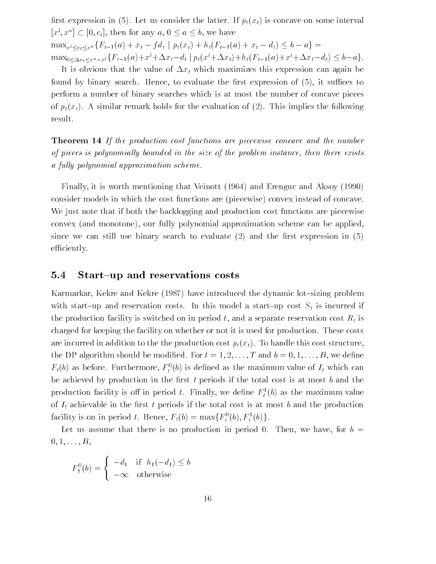first expression in (5). Let us consider the latter. If  $p_t(x_t)$  is concave on some interval  $|x|, x \in \mathbb{C}$  [0; ct], then for any a, 0 a b, we have  $x \leq x \leq x^2$  (b  $t = 1$  (b) +  $x \in y$  is proposed to  $y \leq t$  (contract  $y \in t$  and  $y \in t$  and  $y \in t$  and  $y \in t$  and  $y \in t$  $\max_{0 \leq \Delta x_t \leq x^u - x^l} \{F_{t-1}(a) + x^l + \Delta x_t - d_t \mid p_t(x^l + \Delta x_t) + h_t(F_{t-1}(a) + x^l + \Delta x_t - d_t) \leq b - a\}.$ 

It is obvious that the value of  $\Delta x_t$  which maximizes this expression can again be found by binary search. Hence, to evaluate the first expression of  $(5)$ , it suffices to perform a number of binary searches which is at most the number of concave pieces of  $p_t(x_t)$ . A similar remark holds for the evaluation of (2). This implies the following result.

Theorem 14 If the production cost functions are piecewise concave and the number of pieces is polynomially bounded in the size of the problem instance, then there exists a fully polynomial approximation scheme.

Finally, it is worth mentioning that Veinott (1964) and Erenguc and Aksoy (1990) consider models in which the cost functions are (piecewise) convex instead of concave. We just note that if both the backlogging and production cost functions are piecewise convex (and monotone), our fully polynomial approximation scheme can be applied, since we can still use binary search to evaluate  $(2)$  and the first expression in  $(5)$ efficiently.

#### 5.4 Start-up and reservations costs

Karmarkar, Kekre and Kekre (1987) have introduced the dynamic lot-sizing problem with start-up and reservation costs. In this model a start-up cost  $S_t$  is incurred if the production facility is switched on in period t, and a separate reservation cost  $R_t$  is charged for keeping the facility on whether or not it is used for production. These costs are incurred in addition to the the production cost  $p_t(x_t)$ . To handle this cost structure, the DP algorithm should be modified. For  $t = 1, 2, \ldots, T$  and  $b = 0, 1, \ldots, B$ , we define  $F_t(\theta)$  as before. Furthermore,  $F_t(\theta)$  is defined as the maximum value of  $I_t$  which can be achieved by production in the first  $t$  periods if the total cost is at most  $b$  and the production facility is on in period t. Finally, we define  $r_t^-(b)$  as the maximum value of  $I_t$  achievable in the first t periods if the total cost is at most b and the production facility is on in period t. Hence,  $r_t(0) = \max\{r_t^*(0), r_t^*(0)\}.$ 

Let us assume that there is no production in period 0. Then, we have, for  $b =$  $0, 1, \ldots, B,$ 

$$
F_1^0(b) = \begin{cases} -d_1 & \text{if } h_1(-d_1) \le b \\ -\infty & \text{otherwise} \end{cases}
$$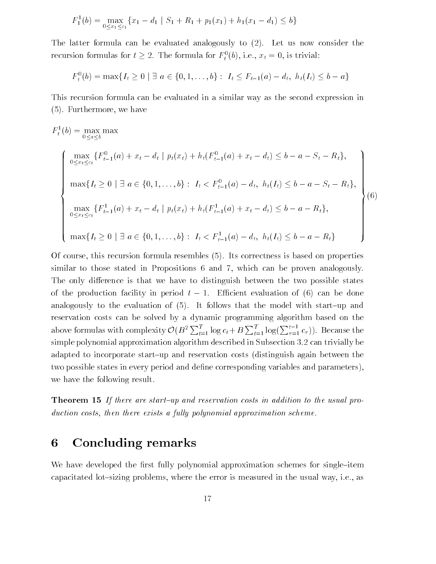$$
F_1^1(b) = \max_{0 \le x_1 \le c_1} \{x_1 - d_1 \mid S_1 + R_1 + p_1(x_1) + h_1(x_1 - d_1) \le b\}
$$

The latter formula can be evaluated analogously to (2). Let us now consider the recursion formulas for  $t \geq 2$ . The formula for  $F_t^+(b)$ , i.e.,  $x_t = 0$ , is trivial:

$$
F_t^0(b) = \max\{I_t \ge 0 \mid \exists a \in \{0, 1, ..., b\} : I_t \le F_{t-1}(a) - d_t, h_t(I_t) \le b - a\}
$$

This recursion formula can be evaluated in a similar way as the second expression in (5). Furthermore, we have

$$
F_t^1(b) = \max_{0 \le a \le b} \max
$$
\n
$$
\left\{\n\begin{array}{l}\n\max_{0 \le x_t \le c_t} \{F_{t-1}^0(a) + x_t - d_t \mid p_t(x_t) + h_t(F_{t-1}^0(a) + x_t - d_t) \le b - a - S_t - R_t\}, \\
\max\{I_t \ge 0 \mid \exists a \in \{0, 1, \dots, b\} : I_t < F_{t-1}^0(a) - d_t, \ h_t(I_t) \le b - a - S_t - R_t\}, \\
\max\{I_{t-1}(a) + x_t - d_t \mid p_t(x_t) + h_t(F_{t-1}^1(a) + x_t - d_t) \le b - a - R_t\}, \\
\max\{I_t \ge 0 \mid \exists a \in \{0, 1, \dots, b\} : I_t < F_{t-1}^1(a) - d_t, \ h_t(I_t) \le b - a - R_t\n\}\n\end{array}\n\right\}
$$
\n
$$
(6)
$$

max{ $I_t \ge 0$  |  $\exists a \in \{0, 1, \ldots, b\}$  :  $I_t < F_{t-1}(a)$ <br>urse, this recursion formula resembles (5). It  $\blacksquare$  of course, this recursion formula recursion for properties (5). Its correctness is based on properties in similar to those stated in Propositions 6 and 7, which can be proven analogously. The only difference is that we have to distinguish between the two possible states  $\begin{bmatrix} 1 \\ 1 \end{bmatrix}$  in period the production facility in period to  $\begin{bmatrix} 1 \\ 1 \end{bmatrix}$ analogously to the evaluation of  $(5)$ . It follows that the model with start-up and reservation costs can be solved by a dynamic programming algorithm based on the above formulas with complexity  $\mathcal{O}(B^2 \sum_{t=1}^I \log c_t + B \sum_{t=1}^I \log(\sum_{\tau=1}^{t-1} c_\tau))$ . Because the simple polynomial approximation algorithm described in Subsection 3.2 can trivially be adapted to incorporate start{up and reservation costs (distinguish again between the two possible states in every period and define corresponding variables and parameters), we have the following result.

**Theorem 15** If there are start-up and reservation costs in addition to the usual production costs, then there exists a fully polynomial approximation scheme.

# 6 Concluding remarks

We have developed the first fully polynomial approximation schemes for single-item capacitated lot-sizing problems, where the error is measured in the usual way, i.e., as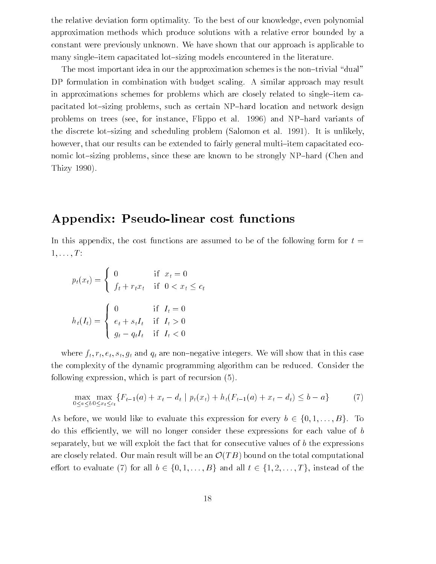the relative deviation form optimality. To the best of our knowledge, even polynomial approximation methods which produce solutions with a relative error bounded by a constant were previously unknown. We have shown that our approach is applicable to many single-item capacitated lot-sizing models encountered in the literature.

The most important idea in our the approximation schemes is the non-trivial "dual" DP formulation in combination with budget scaling. A similar approach may result in approximations schemes for problems which are closely related to single-item capacitated lot-sizing problems, such as certain NP-hard location and network design problems on trees (see, for instance, Flippo et al. 1996) and NP-hard variants of the discrete lot-sizing and scheduling problem (Salomon et al. 1991). It is unlikely, however, that our results can be extended to fairly general multi-item capacitated economic lot-sizing problems, since these are known to be strongly NP-hard (Chen and Thizy 1990).

# Appendix: Pseudo-linear cost functions

In this appendix, the cost functions are assumed to be of the following form for  $t =$  $1, \ldots, T$ :

$$
p_t(x_t) = \begin{cases} 0 & \text{if } x_t = 0\\ f_t + r_t x_t & \text{if } 0 < x_t \le c_t \end{cases}
$$

$$
h_t(I_t) = \begin{cases} 0 & \text{if } I_t = 0\\ e_t + s_t I_t & \text{if } I_t > 0\\ g_t - q_t I_t & \text{if } I_t < 0 \end{cases}
$$

where  $f_t, r_t, e_t, s_t, g_t$  and  $q_t$  are non-negative integers. We will show that in this case the complexity of the dynamic programming algorithm can be reduced. Consider the following expression, which is part of recursion (5).

$$
\max_{0 \le a \le b} \max_{0 \le x_t \le c_t} \{ F_{t-1}(a) + x_t - d_t \mid p_t(x_t) + h_t(F_{t-1}(a) + x_t - d_t) \le b - a \}
$$
(7)

 $A$  before, we would not be a summational interaction of  $B$   $\cup$   $B$ ,  $\cup$   $C$   $\cup$ ,  $D$ ,  $\cup$ ,  $D$ ,  $\cup$ ,  $D$ ,  $\cup$ ,  $D$ ,  $\cup$ ,  $D$ ,  $\cup$ ,  $D$ ,  $\cup$ ,  $D$ ,  $\cup$ ,  $D$ ,  $\cup$ ,  $D$ ,  $\cup$ ,  $D$ ,  $\cup$ ,  $D$ ,  $\cup$ ,  $D$ ,  $\cup$ ,  $D$ do this eciently, we will no longer consider these expressions for each value of b separately, but we will exploit the fact that for consecutive values of  $b$  the expressions are closely related. Our main result will be an operator  $\frac{1}{\sqrt{2}}$ evaluate (7) for all  $2^{2}$  (8)  $-$ , ...,  $j$  and all  $2^{2}$  (2)  $-$ , ...,  $j$ , instead of the theoretical of the theoretical of the theoretical of the theoretical of the theoretical order of the theoretical order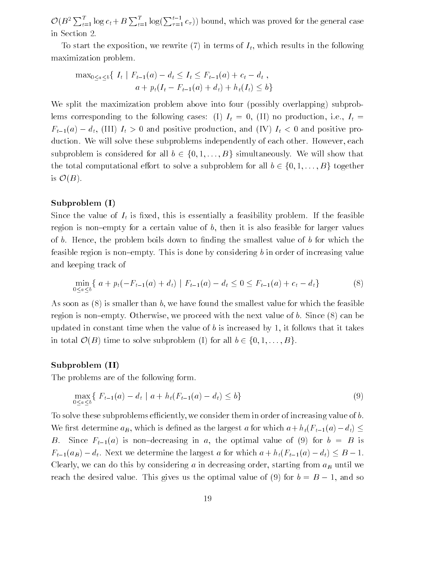$\mathcal{O}(B^2 \sum_{t=1}^I \log c_t + B \sum_{t=1}^I \log(\sum_{\tau=1}^{t-1} c_{\tau}))$  bound, which was proved for the general case in Section 2.

To start the exposition, we rewrite  $(7)$  in terms of  $I_t$ , which results in the following maximization problem.

$$
\max_{0 \le a \le b} \{ I_t | F_{t-1}(a) - d_t \le I_t \le F_{t-1}(a) + c_t - d_t ,
$$
  
 
$$
a + p_t(I_t - F_{t-1}(a) + d_t) + h_t(I_t) \le b \}
$$

We split the maximization problem above into four (possibly overlapping) subproblems corresponding to the following cases: (I)  $I_t = 0$ , (II) no production, i.e.,  $I_t =$  $F_{\text{t}}(x)$  and  $F_{\text{t}}(x)$  is  $F_{\text{t}}(x)$  is denote production, and  $F_{\text{t}}(x)$  is and positive production. We will solve these subproblems independently of each other. However, each subproblem is considered for all  $b \in \{0, 1, ..., B\}$  simultaneously. We will show that the total computational effort to solve a subproblem for all  $b \in \{0, 1, ..., B\}$  together the total computational entry to solve a subproblem for all  $2 \times 2 \times 1; \ldots, 2$  for all b  $\mathcal{O}(B)$ .  $\sim$   $($  $=$  $)$ .

#### Subproblem (I)

Since the value of  $I_t$  is fixed, this is essentially a feasibility problem. If the feasible region is non-empty for a certain value of  $b$ , then it is also feasible for larger values of b. Hence, the problem boils down to finding the smallest value of b for which the feasible region is non-empty. This is done by considering  $b$  in order of increasing value and keeping track of

$$
\min_{0 \le a \le b} \{ a + p_t(-F_{t-1}(a) + d_t) \mid F_{t-1}(a) - d_t \le 0 \le F_{t-1}(a) + c_t - d_t \}
$$
\n(8)

As soon as  $(8)$  is smaller than b, we have found the smallest value for which the feasible region is non-empty. Otherwise, we proceed with the next value of b. Since  $(8)$  can be updated in constant time when the value of  $b$  is increased by 1, it follows that it takes in total  $\mathcal{O}(B)$  time to solve subproblem (I) for all  $b \in \{0, 1, ..., B\}$ .  $\sum_{i=1}^{n}$  of  $\sum_{i=1}^{n}$  for all  $\sum_{i=1}^{n}$  for all  $\sum_{i=1}^{n}$   $\sum_{i=1}^{n}$  for all  $\sum_{i=1}^{n}$  for all  $\sum_{i=1}^{n}$  for all  $\sum_{i=1}^{n}$  for all  $\sum_{i=1}^{n}$  for all  $\sum_{i=1}^{n}$  for all  $\sum_{i=1}^{n}$  for all  $\sum$ 

#### Subproblem (II)

The problems are of the following form.

$$
\max_{0 \le a \le b} \{ F_{t-1}(a) - d_t \mid a + h_t(F_{t-1}(a) - d_t) \le b \}
$$
\n(9)

To solve these subproblems efficiently, we consider them in order of increasing value of  $b$ . We first determine  $a_B$ , which is defined as the largest a for which  $a + h_t(F_{t-1}(a) - d_t) \leq$ B. Since  $F_{t-1}(a)$  is non-decreasing in a, the optimal value of (9) for  $b = B$  is  $\begin{array}{cc} \text{C} & \text{C} & \text{C} & \text{C} & \text{C} & \text{C} & \text{C} & \text{C} & \text{C} & \text{C} & \text{C} & \text{C} & \text{C} & \text{C} & \text{C} & \text{C} & \text{C} & \text{C} & \text{C} & \text{C} & \text{C} & \text{C} & \text{C} & \text{C} & \text{C} & \text{C} & \text{C} & \text{C} & \text{C} & \text{C} & \text{C} & \text{C} & \text{C} & \text{C} & \text{C} & \text{$ Clearly, we can do this by considering a in decreasing order, starting from  $a_B$  until we reach the desired value. This gives us the optimal value of  $(9)$  for b  $= 8$   $-$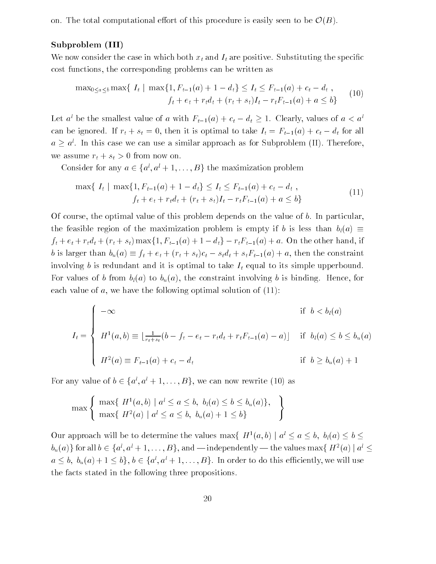on. The total computational effort of this procedure is easily seen to be  $\mathcal{O}(B)$ .  $\sum_{i=1}^{n}$ 

#### Subproblem (III)

We now consider the case in which both  $x_t$  and  $I_t$  are positive. Substituting the specific cost functions, the corresponding problems can be written as

$$
\max_{0 \le a \le b} \max\{ I_t \mid \max\{1, F_{t-1}(a) + 1 - d_t\} \le I_t \le F_{t-1}(a) + c_t - d_t ,\
$$
  

$$
f_t + e_t + r_t d_t + (r_t + s_t)I_t - r_t F_{t-1}(a) + a \le b \}
$$
 (10)

Let a be the smallest value of a with  $F_{t-1}(a) + c_t - a_t \geq 1$ . Clearly, values of  $a < a$ can be ignored. If the state is optimal to take  $\frac{1}{\sqrt{2}}$  to take It is optimal to take It is optimal to take It is optimal to take It is optimal to take It is optimal to take It is optimal to take It is optimal to tak  $a \geq a$ . In this case we can use a similar approach as for Subproblem (II). Therefore, we assume  $r_t + s_t > 0$  from now on.

Consider for any  $a \in \{a^l, a^l + 1, \ldots, B\}$  the maximization problem

$$
\max\{I_t \mid \max\{1, F_{t-1}(a) + 1 - d_t\} \le I_t \le F_{t-1}(a) + c_t - d_t,
$$
  
\n
$$
f_t + e_t + r_t d_t + (r_t + s_t)I_t - r_t F_{t-1}(a) + a \le b\}
$$
\nOf course, the optimal value of this problem depends on the value of b. In particular,

the feasible region of the maximization problem is empty if b is less than  $b_l(a) \equiv$ b is larger than  $b_u(a) \equiv f_t + e_t + (r_t + s_t)c_t - s_t d_t + s_t F_{t-1}(a) + a$ , then the constraint<br>involving b is redundant and it is optimal to take  $I_t$  equal to its simple upperbound.  $\mathbf{b}$  is that is the state  $\mathbf{c}$  state  $\mathbf{c}$  state  $\mathbf{c}$  is the constraint of a, then the constraints of a state  $\mathbf{c}$ involving b is redundant and it is optimal to take  $I_t$  equal to its simple upperbound. For values of b from  $b_l(a)$  to  $b_u(a)$ , the constraint involving b is binding. Hence, for each value of  $a$ , we have the following optimal solution of  $(11)$ :

$$
I_t = \begin{cases}\n-\infty & \text{if } b < b_l(a) \\
H^1(a, b) \equiv \lfloor \frac{1}{r_t + s_t} (b - f_t - e_t - r_t d_t + r_t F_{t-1}(a) - a) \rfloor & \text{if } b_l(a) \le b \le b_u(a) \\
H^2(a) \equiv F_{t-1}(a) + c_t - d_t & \text{if } b \ge b_u(a) + 1\n\end{cases}
$$

For any value of  $b \in \{a^l, a^l + 1, \ldots, B\}$ , we can now rewrite (10) as

$$
\max \left\{ \max \{ H^{1}(a,b) \mid a^{l} \le a \le b, b_{l}(a) \le b \le b_{u}(a) \}, \max \{ H^{2}(a) \mid a^{l} \le a \le b, b_{u}(a) + 1 \le b \} \right\}
$$

Our approach will be to determine the values max{  $H^1(a, b) | a^l \le a \le b$ ,  $b_l(a) \le b \le b_u(a)$ } for all  $b \in \{a^l, a^l + 1, ..., B\}$ , and — independently — the values max{  $H^2(a) | a^l \le a$  $b_u(a)$  for all  $b \in \{a', a'+1, \ldots, B\}$ , and — independently — the values max $\{H^-(a) \mid a' \le a \le b, b_u(a) + 1 \le b\}$ ,  $b \in \{a^l, a^l + 1, \ldots, B\}$ . In order to do this efficiently, we will use the facts stated in the following three pr  $a \le b$ ,  $b_u(a) + 1 \le b$ ,  $b \in \{a', a' + 1, \ldots, b\}$ . In order to do this efficiently, we will use<br>the facts stated in the following three propositions. the facts stated in the following three propositions.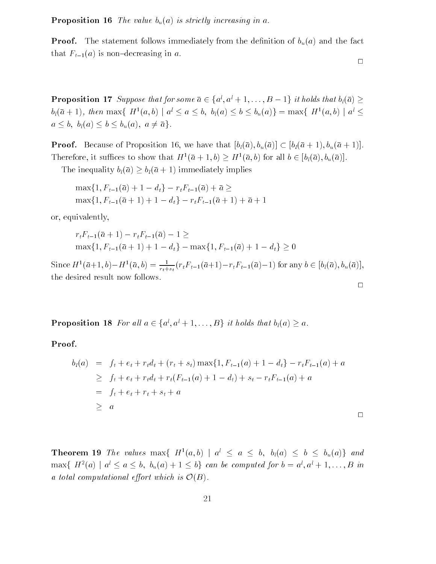**Proposition 16** The value  $b_u(a)$  is strictly increasing in a.

**Proof.** The statement follows immediately from the definition of  $b_u(a)$  and the fact that  $F_{t-1}(a)$  is non-decreasing in a.

$$
\qquad \qquad \Box
$$

 $\Box$ 

**Proposition 17** Suppose that for some  $a \in \{a', a' + 1, \ldots, B - 1\}$  it holds that  $b_l(a) \ge$ <br>  $b_l(\bar{a} + 1)$ , then max $\{H^1(a, b) \mid a^l \le a \le b, b_l(a) \le b \le b_u(a)\} = \max\{H^1(a, b) \mid a^l \le a \le b, b_l(a) \le b \le b_u(a), a \neq \bar{a}\}.$  $b_l(a + 1)$ , then max $\{H^-(a, b) \mid a \le a \le b, b_l(a) \le b \le b_u(a)\}= \max{\{H^-(a, b) \mid a \le b\}}$ and by black  $\phi = \begin{bmatrix} a & b \\ c & d \end{bmatrix}$ 

**Proof.** Because of Proposition 16, we have that  $[b_l(\bar{a}), b_u(\bar{a})] \subset [b_l(\bar{a}+1), b_u(\bar{a}+1)].$  $\begin{bmatrix} b & b \\ c & d \end{bmatrix}$ Therefore, it suffices to show that  $H^-(a + 1, b) \ge H^-(a, b)$  for all  $b \in [b_l(a), b_u(a)]$ .

The inequality bl(a)  $\frac{1}{2}$  if  $\frac{1}{2}$  is the 1-1) immediately implies

$$
\max\{1, F_{t-1}(\bar{a}) + 1 - d_t\} - r_t F_{t-1}(\bar{a}) + \bar{a} \ge
$$
  
\n
$$
\max\{1, F_{t-1}(\bar{a} + 1) + 1 - d_t\} - r_t F_{t-1}(\bar{a} + 1) + \bar{a} + 1
$$
  
\n
$$
\text{eigenality},
$$

or, equivalently,

$$
r_t F_{t-1}(\bar{a} + 1) - r_t F_{t-1}(\bar{a}) - 1 \ge
$$
  
\n
$$
\max\{1, F_{t-1}(\bar{a} + 1) + 1 - d_t\} - \max\{1, F_{t-1}(\bar{a}) + 1 - d_t\} \ge 0
$$

Since  $H^1(\bar{a}+1, b) - H^1(\bar{a}, b) = \frac{1}{r_t+s_t} (r_t F_{t-1}(\bar{a}+1) - r_t F_{t-1}(\bar{a})-1)$  for any  $b \in [b_l(\bar{a}), b_u(\bar{a})],$ the desired result now follows.  $\Box$ 

**Proposition 18** For all  $a \in \{a^l, a^l + 1, \ldots, B\}$  it holds that  $b_l(a) \geq a$ .

Proof.

$$
b_l(a) = f_t + e_t + r_t d_t + (r_t + s_t) \max\{1, F_{t-1}(a) + 1 - d_t\} - r_t F_{t-1}(a) + a
$$
  
\n
$$
\geq f_t + e_t + r_t d_t + r_t (F_{t-1}(a) + 1 - d_t) + s_t - r_t F_{t-1}(a) + a
$$
  
\n
$$
= f_t + e_t + r_t + s_t + a
$$
  
\n
$$
\geq a
$$

**Theorem 19** The values max $\{H^1(a,b) | a^l \le a \le b, b_l(a) \le b \le b_u(a)\}\$  and  $\max\{ H^2(a) \mid a^l \le a \le b, b_u(a)+1 \le b \}$  can be computed for  $b = a^l, a^l + 1, \ldots, B$  in a total computational  $y$  computation is  $\bullet$  (B).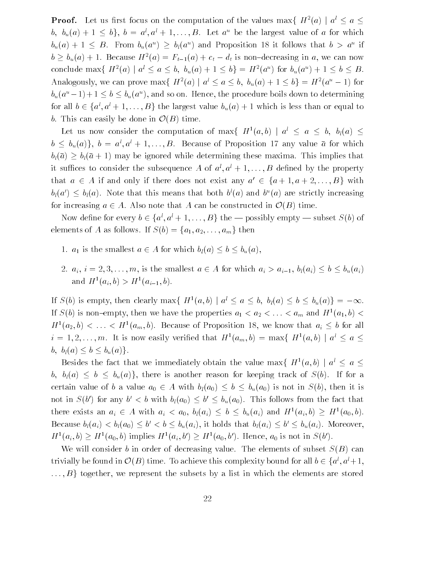**Proof.** Let us first focus on the computation of the values max  $\{H^2(a) \mid a^l \le a \le a\}$  $b, b_u(a) + 1 \leq b$ ,  $b = a, a + 1, ..., D$ . Let a be the largest value of a for which  $b_u(a) + 1 \leq D$ . From  $b_u(a^{\dagger}) \geq b_l(a^{\dagger})$  and Proposition 18 it follows that  $b > a^{\dagger}$  if  $b \geq b_u(a) + 1$ . Because  $H^-(a) = F_{t-1}(a) + c_t - a_t$  is non-decreasing in a, we can now conclude max $\{ H^-(a) \mid a \le a \le b, \; b_u(a) + 1 \le b \} = H^-(a^+)$  for  $b_u(a^+) + 1 \le b \le b$ . Analogously, we can prove max $\{H^2(a) \mid a^l \le a \le b, b_u(a)+1 \le b\} = H^2(a^u - 1)$  for  $b_u(a^2 - 1) + 1 \leq b \leq b_u(a^2)$ , and so on. Hence, the procedure boils down to determining for all  $b \in \{a', a'+1, \ldots, B\}$  the largest value  $b_u(a) + 1$  which is less than or equal to <br>b. This can easily be done in  $\mathcal{O}(B)$  time.<br>Let us now consider the computation of max{  $H^1(a, b) | a^l \le a \le b$ ,  $b_l(a) \le$ b. This can easily be done in  $\mathcal{O}(B)$  time.  $\mathcal{L}(\mathcal{A})$  time.

Let us now consider the computation of max $\{H^1(a, b) \mid a \le a \le b, b( a) \le a \}$  $b \leq b_u(a)$ ;  $b = a, a + 1, ..., b$ . Decause of Proposition 17 any value a for which black and a planet which is interesting the matrix of  $\frac{1}{\sqrt{2}}$ it suffices to consider the subsequence A of  $a^l, a^l + 1, \ldots, B$  defined by the property that  $a \in A$  if and only if there does not exist any  $a' \in \{a+1, a+2, ..., B\}$  with  $b_l(a)$ . Note that this means that both  $b^l(a)$  and  $b^u(a)$  are strictly increasing <br>easing  $a \in A$ . Also note that A can be constructed in  $\mathcal{O}(B)$  time.  $b_l(a) \leq b_l(a)$ . Note that this means that both  $b'(a)$  and  $b''(a)$  are strictly increasing for  $\mathcal{L}$  and  $\mathcal{L}$  and  $\mathcal{L}$  are constructed in O(B) time.

Now define for every  $b \in \{a', a' + 1, ..., B\}$  the — possibly empty — subset  $S(b)$  of ments of A as follows. If  $S(b) = \{a_1, a_2, ..., a_m\}$  then elements of  $\left(\begin{array}{cc} 1, & 2 \end{array}\right)$  and  $m$ 

- 1 is the smallest and  $\left(\sqrt{a}\right)$  if  $\left(\sqrt{a}\right)$  is the smallest and  $\left(\sqrt{a}\right)$
- $\begin{array}{ccccccc} \epsilon_{1} & \epsilon_{2} & \epsilon_{3} & \epsilon_{4} & \epsilon_{5} & \epsilon_{6} & \epsilon_{7} & \epsilon_{8} & \epsilon_{9} & \epsilon_{10} & \epsilon_{11} & \epsilon_{11} & \epsilon_{12} & \epsilon_{13} & \epsilon_{14} & \epsilon_{15} & \epsilon_{16} & \epsilon_{17} & \epsilon_{18} & \epsilon_{19} & \epsilon_{10} & \epsilon_{11} & \epsilon_{12} & \epsilon_{13} & \epsilon_{15} & \epsilon_{16} & \epsilon_{17} & \epsilon_{18} & \epsilon_{19} & \epsilon_{10} & \epsilon_{11} & \epsilon_{1$ and  $H^1(a_i, b) > H^1(a_{i-1}, b)$ .

If  $S(b)$  is empty, then clearly max $\{H^1(a, b) \mid a^l \le a \le b, b_l(a) \le b \le b_u(a)\} = -\infty$ . If  $S(b)$  is non-empty, then we have the properties  $a_1 < a_2 < \ldots < a_m$  and  $H<sup>1</sup>(a_1, b) <$  $H^1(a_2, b) < \ldots < H^1(a_m, b)$ . Because of Proposition 18, we know that  $a_i \leq b$  for all  $\overline{\phantom{a}}$ , and all  $\overline{\phantom{a}}$  $i = 1, 2, \ldots, m$ . It is now easily verified that  $H^-(a_m, b) = \max\{H^-(a, b) \mid a \leq a \leq a \}$  $\beta$  by  $\beta$  =  $\alpha$  and  $\beta$ 

Besides the fact that we immediately obtain the value max  $\{H^1(a,b) \mid a^l \leq a \leq a\}$ b, bl(a)  $b = \frac{1}{2}$  bu(a)g). If for another reason for  $\frac{1}{2}$ . cortain value  $\begin{pmatrix} 0 & \frac{1}{2} \\ \frac{1}{2} & \frac{1}{2} \end{pmatrix}$  is not in S(b), then it is not in S(b), then it is not in S(b), then it is not in S(b), then it is not in S(b), then it is not in S(b), then it is not in S(b), it is not in  $S(0)$  for any  $0 \leq b$  with  $b_l(a_0) \leq b$  is  $\begin{array}{cccc} \mathbf{b} & \mathbf{b} & \mathbf{b} & \mathbf{b} & \mathbf{b} & \mathbf{b} & \mathbf{b} & \mathbf{b} & \mathbf{b} & \mathbf{b} & \mathbf{b} & \mathbf{b} & \mathbf{b} & \mathbf{b} & \mathbf{b} & \mathbf{b} & \mathbf{b} & \mathbf{b} & \mathbf{b} & \mathbf{b} & \mathbf{b} & \mathbf{b} & \mathbf{b} & \mathbf{b} & \mathbf{b} & \mathbf{b} & \mathbf{b} & \mathbf{b} & \mathbf{b} & \mathbf{b} & \mathbf$ there exists an  $a_i \in A$  with  $a_i < a_0, b_i(a_i) \leq b \leq b_u(a_i)$  and  $H^-(a_i, b) \geq H^-(a_0, b)$ . Decause  $b_l(a_i) < b_l(a_0) \leq v \leq b \leq b_u(a_i)$ , it holds that  $b_l(a_i) \leq v \leq b_u(a_i)$ . Moreover,  $\mathbf{b} \cdot \mathbf{b} = \mathbf{b} \cdot \mathbf{b}$  $H^1(a_i, b) \ge H^1(a_0, b)$  implies  $H^1(a_i, b) \ge H^1(a_0, b)$ . Hence,  $a_0$  is not in  $S(b)$ .

We will consider b in order of decreasing value. The elements of subset  $S(B)$  can trivially be found in  $\mathcal{O}(B)$  time. To achieve this complexity bound for all  $b \in \{a^i, a^i+1, a^i\}$  $O(D)$  time. To achieve this complexity bound for all  $b \in \{a^r, a^r + 1\}$ ;<br>represent the subsets by a list in which the elements are stored ... is by a linear the subsets by a linear stored the elements are stored in which the elements are stored in  $\mathcal{I}$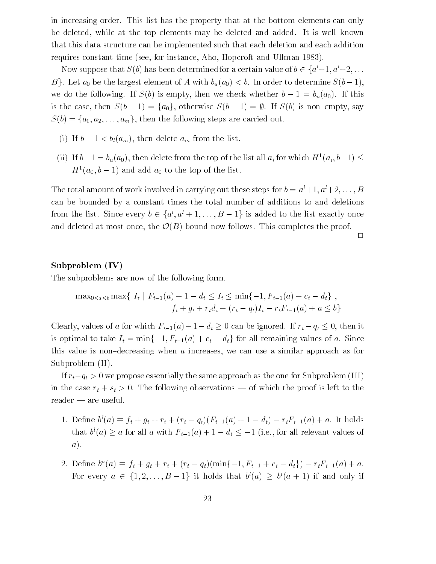in increasing order. This list has the property that at the bottom elements can only be deleted, while at the top elements may be deleted and added. It is well-known that this data structure can be implemented such that each deletion and each addition requires constant time (see, for instance, Aho, Hopcroft and Ullman 1983).

Now suppose that  $S(b)$  has been determined for a certain value of  $b \in \{a^{l}+1, a^{l}+2, \ldots$ <br>B}. Let  $a_0$  be the largest element of A with  $b_u(a_0) < b$ . In order to determine  $S(b-1)$ ,  $\alpha$  is equal to following. If  $\beta$  is empty, then we check whether b  $\alpha$ is the case, then S(b) is non-trial structure  $S(\lambda)$  is non-trial structure  $S(\lambda)$  is non-trial structure.  $S(b) = \{a_1, a_2, \ldots, a_m\}$ , then the following steps are carried out.

- (i)  $\mathcal{L}(m)$  and  $m$
- (ii) If  $b-1 = b_u(a_0)$ , then delete from the top of the list all  $a_i$  for which  $H^1(a_i, b-1) \leq$  $H^{\text{-}}(a_0, b-1)$  and add  $a_0$  to the top of the list.

The total amount of work involved in carrying out these steps for  $b = a^{l} + 1, a^{l} + 2, \ldots, B$ can be bounded by a constant times the total number of additions to and deletions from the list. Since every  $b \in \{a', a' + 1, ..., B - 1\}$  is added to the list exactly once<br>and deleted at most once, the  $\mathcal{O}(B)$  bound now follows. This completes the proof. and deleted at most once, the O(B) bound now follows. This complete the proof. This complete the proof. This complete the proof. This complete the proof. This complete the proof. This complete the proof. This complete the

 $\Box$ 

#### Subproblem (IV)

The subproblems are now of the following form.

$$
\max_{0 \le a \le b} \max\{ I_t | F_{t-1}(a) + 1 - d_t \le I_t \le \min\{-1, F_{t-1}(a) + c_t - d_t \}, f_t + g_t + r_t d_t + (r_t - q_t)I_t - r_t F_{t-1}(a) + a \le b \}
$$

Clearly, values of a for which  $F_{t-1}(a)+1-d_t\geq 0$  can be ignored. If  $r_t-q_t\leq 0$ , then it  $d_t = 0$  can be ignored. If  $t = t$  , then it is  $\sum_{i=1}^{n}$  for all  $\sum_{i=1}^{n}$  and  $\sum_{i=1}^{n}$   $\sum_{i=1}^{n}$  (a)  $\sum_{i=1}^{n}$  are constraining values of a. Since this value is non-decreasing when  $\alpha$  increases, we can use a similar approach as for Subproblem (II).

If rtqt <sup>&</sup>gt; 0 we propose essentially the same approach as the one for Subproblem (III) in the case  $\cdot$   $\cdot$  + st  $\cdot$  0. The following observations is left the left to the proof is left to the proof  $reader - are useful.$ 

- 1. Denne  $\sigma(a) =$  $f(t + g(t + \ell) + (e^{i\theta} - q\ell)(e^{i\theta} - 1)^{i\theta}) + f(t + g(t + \ell))$ that  $b'(a) \ge a$  for all a with  $F_{t-1}(a) + 1 - a_t \le -1$  (i.e., for all relevant values of a). a).
- 2. Denne  $\delta^{\text{-}}(a) = f_t + g_t + r_t + (r_t q_t)(\min\{-1, r_{t-1} + c_t a_t\}) r_t r_{t-1}(a) + a.$  $\begin{array}{c} \text{S} \\ \text{S} \end{array}$  . The contract of  $23$  $\lceil (a) \rceil \leq b^{\prime}(a + 1)$  if and only if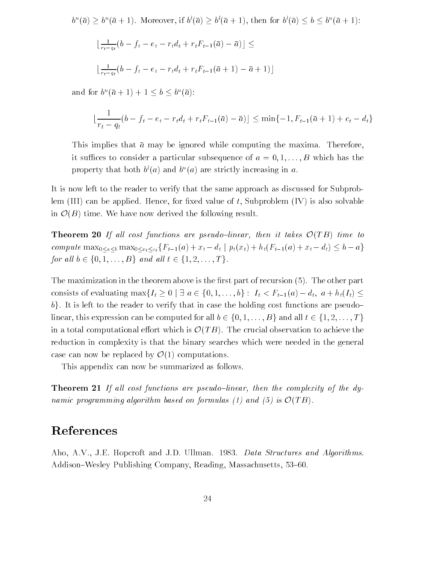$b^{\circ}(a) \geq b^{\circ}(a+1)$ . Moreover, if  $b^{\circ}(a) \geq b^{\circ}(a+1)$ , then for  $b^{\circ}(a) \leq b \leq b^{\circ}(a+1)$ :

$$
\lfloor \frac{1}{r_t - q_t} (b - f_t - e_t - r_t d_t + r_t F_{t-1}(\bar{a}) - \bar{a}) \rfloor \le
$$
  

$$
\lfloor \frac{1}{r_t - q_t} (b - f_t - e_t - r_t d_t + r_t F_{t-1}(\bar{a} + 1) - \bar{a} + 1) \rfloor
$$

and for  $b$   $(a + 1) + 1 \le b \le b$   $(a)$ :

$$
\lfloor \frac{1}{r_t - q_t} (b - f_t - e_t - r_t d_t + r_t F_{t-1}(\bar{a}) - \bar{a}) \rfloor \le \min\{-1, F_{t-1}(\bar{a} + 1) + c_t - d_t\}
$$
  
This implies that  $\bar{a}$  may be ignored while computing the maxima. Therefore,

it suffices to consider a particular subsequence of  $a = 0, 1, \ldots, B$  which has the property that both  $\sigma(a)$  and  $\sigma^*(a)$  are strictly increasing in  $a$ .

It is now left to the reader to verify that the same approach as discussed for Subproblem (III) can be applied. Hence, for fixed value of  $t$ , Subproblem (IV) is also solvable  $\left($ B) time. We have now derived the following result.

**Theorem 20** If all cost functions are pseudo-linear, then it takes  $\mathcal{O}(TB)$  time to  $\mathcal{L}(\mathbf{X}) = \sum_{i=1}^{n} \mathcal{L}(\mathbf{X})$  $c_1$  is not put that  $c_2$  is the set of  $c_1$  is  $c_2$  is  $c_3$  is  $c_4$  if  $c_5$  is  $c_6$  if  $c_7$  is  $c_7$  if  $c_8$  is  $c_9$  if  $c_9$  is  $c_9$  if  $c_9$  is  $c_9$  if  $c_9$  is  $c_9$  if  $c_9$  is  $c_9$  if  $c_9$  is  $c_9$  if

The maximization in the theorem above is the first part of recursion  $(5)$ . The other part b). It is left to the reader to verify that in case the holding cost functions are pseudo-<br>linear, this expression can be computed for all  $b \in \{0, 1, ..., B\}$  and all  $t \in \{1, 2, ..., T\}$  $\mathbf{F}_{\mathbf{y}}$  is the first that reader to verify that in case the holding cost functions are pseudo $\mathbf{y}$ in a total computational effort which is  $\mathcal{O}(TB)$ . The crucial observation to achieve the reduction in complexity is that the binary searches which were needed in the general in a total computational entry which is not when  $\bullet$  $\bullet$  ( $\bullet$   $\bullet$ ). The crucial observation to achieve the achieve reduction in complexity is that the binary searches which were needed in the general case can now be replaced by  $\bullet$  (1) computations.

This appendix can now be summarized as follows.

**Theorem 21** If all cost functions are pseudo-linear, then the complexity of the dynamic programming algorithm based on formulas (1) and (5) is  $\mathcal{O}(TB)$ . O(T B).

### References

Aho, A.V., J.E. Hopcroft and J.D. Ullman. 1983. Data Structures and Algorithms. Addison–Wesley Publishing Company, Reading, Massachusetts, 53–60.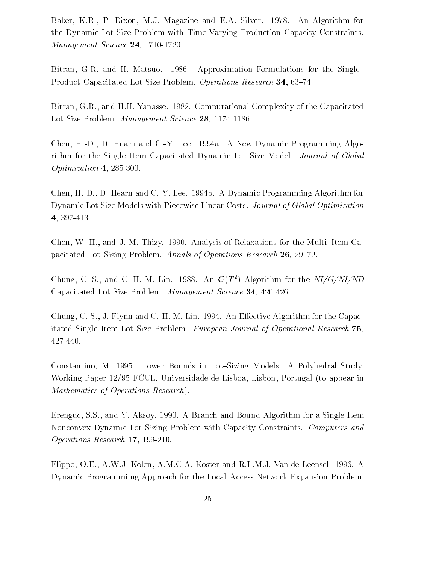Baker, K.R., P. Dixon, M.J. Magazine and E.A. Silver. 1978. An Algorithm for the Dynamic Lot-Size Problem with Time-Varying Production Capacity Constraints. Management Science 24, 1710-1720.

Bitran, G.R. and H. Matsuo. 1986. Approximation Formulations for the Single-Product Capacitated Lot Size Problem. Operations Research 34, 63-74.

Bitran, G.R., and H.H. Yanasse. 1982. Computational Complexity of the Capacitated Lot Size Problem. Management Science 28, 1174-1186.

Chen, H.-D., D. Hearn and C.-Y. Lee. 1994a. A New Dynamic Programming Algorithm for the Single Item Capacitated Dynamic Lot Size Model. Journal of Global Optimization 4, 285-300.

Chen, H.-D., D. Hearn and C.-Y. Lee. 1994b. A Dynamic Programming Algorithm for Dynamic Lot Size Models with Piecewise Linear Costs. Journal of Global Optimization 4, 397-413.

Chen, W.-H., and J.-M. Thizy. 1990. Analysis of Relaxations for the Multi-Item Capacitated Lot-Sizing Problem. Annals of Operations Research 26, 29-72.

Chung, C.-S., and C.-H. M. Lin. 1988. An  $O(T^2)$  Algorithm for the  $N1/G/NI/ND$ Capacitated Lot Size Problem. Management Science 34, 420-426.

Chung, C.-S., J. Flynn and C.-H. M. Lin. 1994. An Effective Algorithm for the Capacitated Single Item Lot Size Problem. European Journal of Operational Research 75, 427-440.

Constantino, M. 1995. Lower Bounds in Lot-Sizing Models: A Polyhedral Study. Working Paper 12/95 FCUL, Universidade de Lisboa, Lisbon, Portugal (to appear in Mathematics of Operations Research).

Erenguc, S.S., and Y. Aksoy. 1990. A Branch and Bound Algorithm for a Single Item Nonconvex Dynamic Lot Sizing Problem with Capacity Constraints. Computers and Operations Research 17, 199-210.

Flippo, O.E., A.W.J. Kolen, A.M.C.A. Koster and R.L.M.J. Van de Leensel. 1996. A Dynamic Programmimg Approach for the Local Access Network Expansion Problem.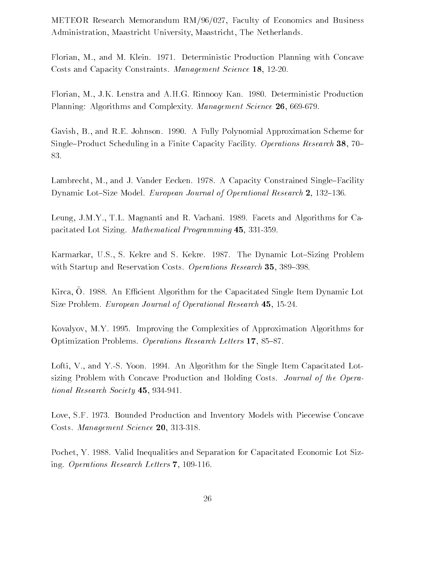METEOR Research Memorandum RM/96/027, Faculty of Economics and Business Administration, Maastricht University, Maastricht, The Netherlands.

Florian, M., and M. Klein. 1971. Deterministic Production Planning with Concave Costs and Capacity Constraints. Management Science 18, 12-20.

Florian, M., J.K. Lenstra and A.H.G. Rinnooy Kan. 1980. Deterministic Production Planning: Algorithms and Complexity. Management Science 26, 669-679.

Gavish, B., and R.E. Johnson. 1990. A Fully Polynomial Approximation Scheme for Single-Product Scheduling in a Finite Capacity Facility. Operations Research 38, 70-83.

Lambrecht, M., and J. Vander Eecken. 1978. A Capacity Constrained Single-Facility Dynamic Lot-Size Model. European Journal of Operational Research 2, 132-136.

Leung, J.M.Y., T.L. Magnanti and R. Vachani. 1989. Facets and Algorithms for Capacitated Lot Sizing. Mathematical Programming 45, 331-359.

Karmarkar, U.S., S. Kekre and S. Kekre. 1987. The Dynamic Lot-Sizing Problem with Startup and Reservation Costs. Operations Research  $35, 389-398$ .

 $\Lambda$ irca, O. 1900. An Emiciem Aigonthin for the Capacitated Single Item Dynamic Equ Size Problem. European Journal of Operational Research 45, 15-24.

Kovalyov, M.Y. 1995. Improving the Complexities of Approximation Algorithms for Optimization Problems. Operations Research Letters 17, 85-87.

Lofti, V., and Y.-S. Yoon. 1994. An Algorithm for the Single Item Capacitated Lotsizing Problem with Concave Production and Holding Costs. Journal of the Operational Research Society 45, 934-941.

Love, S.F. 1973. Bounded Production and Inventory Models with Piecewise Concave Costs. Management Science 20, 313-318.

Pochet, Y. 1988. Valid Inequalities and Separation for Capacitated Economic Lot Sizing. Operations Research Letters 7, 109-116.